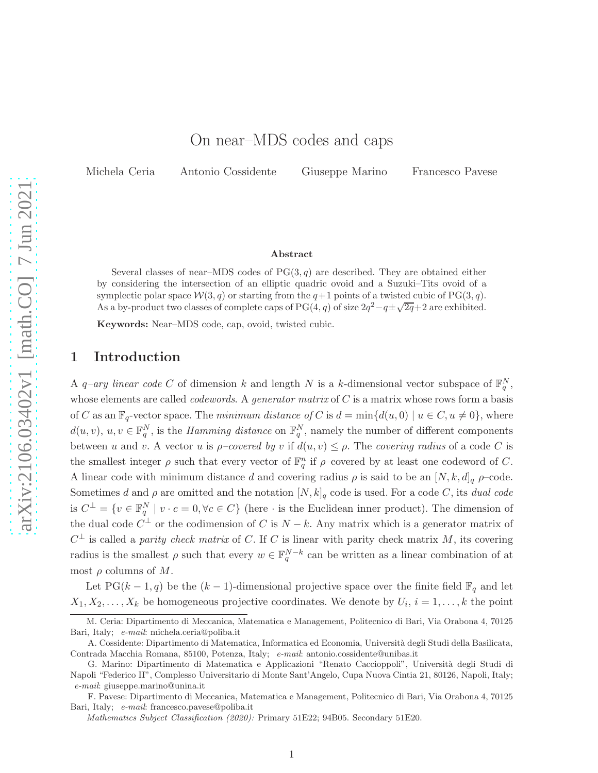## On near–MDS codes and caps

Michela Ceria Antonio Cossidente Giuseppe Marino Francesco Pavese

#### ${\rm Abstract}$

Several classes of near–MDS codes of  $PG(3, q)$  are described. They are obtained either by considering the intersection of an elliptic quadric ovoid and a Suzuki–Tits ovoid of a symplectic polar space  $W(3, q)$  or starting from the  $q+1$  points of a twisted cubic of PG(3, q). As a by-product two classes of complete caps of PG(4, q) of size  $2q^2 - q \pm \sqrt{2q} + 2$  are exhibited.

Keywords: Near–MDS code, cap, ovoid, twisted cubic.

### 1 Introduction

A q-ary linear code C of dimension k and length N is a k-dimensional vector subspace of  $\mathbb{F}_q^N$ , whose elements are called *codewords*. A *generator matrix* of  $C$  is a matrix whose rows form a basis of C as an  $\mathbb{F}_q$ -vector space. The minimum distance of C is  $d = \min\{d(u, 0) \mid u \in C, u \neq 0\}$ , where  $d(u, v), u, v \in \mathbb{F}_q^N$ , is the *Hamming distance* on  $\mathbb{F}_q^N$ , namely the number of different components between u and v. A vector u is  $\rho$ -covered by v if  $d(u, v) \leq \rho$ . The covering radius of a code C is the smallest integer  $\rho$  such that every vector of  $\mathbb{F}_q^n$  if  $\rho$ -covered by at least one codeword of C. A linear code with minimum distance d and covering radius  $\rho$  is said to be an  $[N, k, d]_q$   $\rho$ -code. Sometimes d and  $\rho$  are omitted and the notation  $[N, k]_q$  code is used. For a code C, its dual code is  $C^{\perp} = \{v \in \mathbb{F}_q^N \mid v \cdot c = 0, \forall c \in C\}$  (here  $\cdot$  is the Euclidean inner product). The dimension of the dual code  $C^{\perp}$  or the codimension of C is  $N - k$ . Any matrix which is a generator matrix of  $C^{\perp}$  is called a *parity check matrix* of C. If C is linear with parity check matrix M, its covering radius is the smallest  $\rho$  such that every  $w \in \mathbb{F}_q^{N-k}$  can be written as a linear combination of at most  $\rho$  columns of M.

Let PG(k – 1, q) be the  $(k-1)$ -dimensional projective space over the finite field  $\mathbb{F}_q$  and let  $X_1, X_2, \ldots, X_k$  be homogeneous projective coordinates. We denote by  $U_i, i = 1, \ldots, k$  the point

M. Ceria: Dipartimento di Meccanica, Matematica e Management, Politecnico di Bari, Via Orabona 4, 70125 Bari, Italy; e-mail: michela.ceria@poliba.it

A. Cossidente: Dipartimento di Matematica, Informatica ed Economia, Università degli Studi della Basilicata, Contrada Macchia Romana, 85100, Potenza, Italy; e-mail: antonio.cossidente@unibas.it

G. Marino: Dipartimento di Matematica e Applicazioni "Renato Caccioppoli", Università degli Studi di Napoli "Federico II", Complesso Universitario di Monte Sant'Angelo, Cupa Nuova Cintia 21, 80126, Napoli, Italy; e-mail: giuseppe.marino@unina.it

F. Pavese: Dipartimento di Meccanica, Matematica e Management, Politecnico di Bari, Via Orabona 4, 70125 Bari, Italy; e-mail: francesco.pavese@poliba.it

Mathematics Subject Classification (2020): Primary 51E22; 94B05. Secondary 51E20.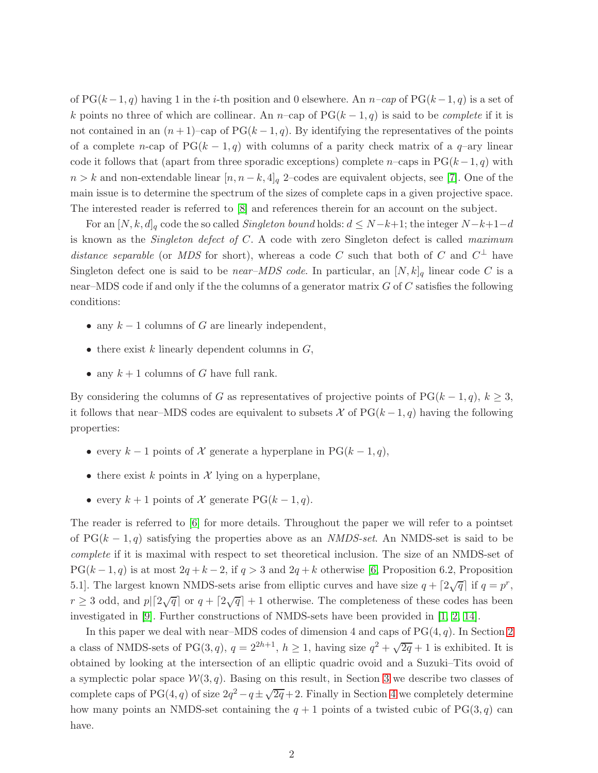of  $PG(k-1, q)$  having 1 in the i-th position and 0 elsewhere. An  $n$ -cap of  $PG(k-1, q)$  is a set of k points no three of which are collinear. An n–cap of  $PG(k-1, q)$  is said to be *complete* if it is not contained in an  $(n+1)$ –cap of PG $(k-1, q)$ . By identifying the representatives of the points of a complete n-cap of  $PG(k-1,q)$  with columns of a parity check matrix of a  $q$ -ary linear code it follows that (apart from three sporadic exceptions) complete n–caps in PG $(k-1, q)$  with  $n > k$  and non-extendable linear  $[n, n - k, 4]_q$  2–codes are equivalent objects, see [\[7\]](#page-15-0). One of the main issue is to determine the spectrum of the sizes of complete caps in a given projective space. The interested reader is referred to [\[8\]](#page-15-1) and references therein for an account on the subject.

For an  $[N, k, d]_q$  code the so called Singleton bound holds:  $d \leq N-k+1$ ; the integer  $N-k+1-d$ is known as the *Singleton defect of C.* A code with zero Singleton defect is called *maximum* distance separable (or MDS for short), whereas a code C such that both of C and  $C^{\perp}$  have Singleton defect one is said to be *near–MDS code*. In particular, an  $[N, k]_q$  linear code C is a near–MDS code if and only if the the columns of a generator matrix  $G$  of  $C$  satisfies the following conditions:

- any  $k-1$  columns of G are linearly independent,
- $\bullet$  there exist k linearly dependent columns in  $G$ ,
- any  $k+1$  columns of G have full rank.

By considering the columns of G as representatives of projective points of PG( $k - 1, q$ ),  $k \geq 3$ , it follows that near–MDS codes are equivalent to subsets X of  $PG(k-1, q)$  having the following properties:

- every  $k-1$  points of X generate a hyperplane in PG $(k-1, q)$ ,
- there exist k points in  $\mathcal X$  lying on a hyperplane,
- every  $k + 1$  points of X generate PG( $k 1, q$ ).

The reader is referred to [\[6\]](#page-15-2) for more details. Throughout the paper we will refer to a pointset of  $PG(k-1,q)$  satisfying the properties above as an *NMDS-set*. An NMDS-set is said to be complete if it is maximal with respect to set theoretical inclusion. The size of an NMDS-set of  $PG(k-1, q)$  is at most  $2q + k - 2$ , if  $q > 3$  and  $2q + k$  otherwise [\[6,](#page-15-2) Proposition 6.2, Proposition 5.1]. The largest known NMDS-sets arise from elliptic curves and have size  $q + \lceil 2\sqrt{q} \rceil$  if  $q = p^r$ ,  $r \geq 3$  odd, and  $p \mid [2\sqrt{q}]$  or  $q + [2\sqrt{q}] + 1$  otherwise. The completeness of these codes has been investigated in [\[9\]](#page-15-3). Further constructions of NMDS-sets have been provided in [\[1,](#page-14-0) [2,](#page-14-1) [14\]](#page-15-4).

<span id="page-1-0"></span>In this paper we deal with near–MDS codes of dimension 4 and caps of  $PG(4, q)$ . In Section [2](#page-1-0) a class of NMDS-sets of PG(3,q),  $q = 2^{2h+1}$ ,  $h \ge 1$ , having size  $q^2 + \sqrt{2q} + 1$  is exhibited. It is obtained by looking at the intersection of an elliptic quadric ovoid and a Suzuki–Tits ovoid of a symplectic polar space  $W(3, q)$ . Basing on this result, in Section [3](#page-3-0) we describe two classes of complete caps of PG(4, q) of size  $2q^2 - q \pm \sqrt{2q} + 2$ . Finally in Section [4](#page-5-0) we completely determine how many points an NMDS-set containing the  $q + 1$  points of a twisted cubic of PG(3, q) can have.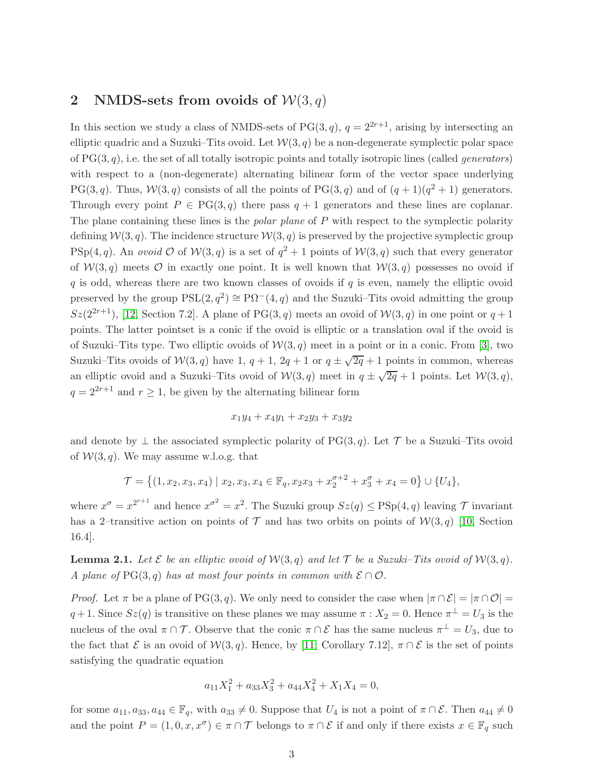## 2 NMDS-sets from ovoids of  $W(3, q)$

In this section we study a class of NMDS-sets of PG(3, q),  $q = 2^{2r+1}$ , arising by intersecting an elliptic quadric and a Suzuki–Tits ovoid. Let  $W(3, q)$  be a non-degenerate symplectic polar space of  $PG(3, q)$ , i.e. the set of all totally isotropic points and totally isotropic lines (called *generators*) with respect to a (non-degenerate) alternating bilinear form of the vector space underlying PG(3, q). Thus,  $W(3, q)$  consists of all the points of PG(3, q) and of  $(q + 1)(q^2 + 1)$  generators. Through every point  $P \in PG(3, q)$  there pass  $q + 1$  generators and these lines are coplanar. The plane containing these lines is the *polar plane* of  $P$  with respect to the symplectic polarity defining  $W(3, q)$ . The incidence structure  $W(3, q)$  is preserved by the projective symplectic group  $PSp(4, q)$ . An *ovoid*  $\mathcal O$  of  $\mathcal W(3, q)$  is a set of  $q^2 + 1$  points of  $\mathcal W(3, q)$  such that every generator of  $W(3, q)$  meets  $\mathcal O$  in exactly one point. It is well known that  $W(3, q)$  possesses no ovoid if q is odd, whereas there are two known classes of ovoids if  $q$  is even, namely the elliptic ovoid preserved by the group  $PSL(2, q^2) \cong \mathbb{P}\Omega^-(4, q)$  and the Suzuki–Tits ovoid admitting the group  $Sz(2^{2r+1}),$  [\[12,](#page-15-5) Section 7.2]. A plane of PG(3, q) meets an ovoid of  $W(3, q)$  in one point or  $q+1$ points. The latter pointset is a conic if the ovoid is elliptic or a translation oval if the ovoid is of Suzuki–Tits type. Two elliptic ovoids of  $W(3, q)$  meet in a point or in a conic. From [\[3\]](#page-14-2), two Suzuki–Tits ovoids of  $W(3,q)$  have 1,  $q + 1$ ,  $2q + 1$  or  $q \pm \sqrt{2q} + 1$  points in common, whereas an elliptic ovoid and a Suzuki–Tits ovoid of  $W(3,q)$  meet in  $q \pm \sqrt{2q} + 1$  points. Let  $W(3,q)$ ,  $q = 2^{2r+1}$  and  $r \ge 1$ , be given by the alternating bilinear form

$$
x_1y_4 + x_4y_1 + x_2y_3 + x_3y_2
$$

and denote by  $\perp$  the associated symplectic polarity of PG(3, q). Let T be a Suzuki–Tits ovoid of  $W(3, q)$ . We may assume w.l.o.g. that

$$
\mathcal{T} = \left\{ (1, x_2, x_3, x_4) \mid x_2, x_3, x_4 \in \mathbb{F}_q, x_2 x_3 + x_2^{\sigma+2} + x_3^{\sigma} + x_4 = 0 \right\} \cup \{U_4\},\
$$

where  $x^{\sigma} = x^{2^{r+1}}$  and hence  $x^{\sigma^2} = x^2$ . The Suzuki group  $Sz(q) \leq \text{PSp}(4, q)$  leaving  $\mathcal T$  invariant has a 2–transitive action on points of  $\mathcal T$  and has two orbits on points of  $\mathcal W(3, q)$  [\[10,](#page-15-6) Section 16.4].

<span id="page-2-0"></span>**Lemma 2.1.** Let  $\mathcal E$  be an elliptic ovoid of  $\mathcal W(3,q)$  and let  $\mathcal T$  be a Suzuki–Tits ovoid of  $\mathcal W(3,q)$ . A plane of PG(3, q) has at most four points in common with  $\mathcal{E} \cap \mathcal{O}$ .

*Proof.* Let  $\pi$  be a plane of PG(3, q). We only need to consider the case when  $|\pi \cap \mathcal{E}| = |\pi \cap \mathcal{O}| =$  $q+1$ . Since  $Sz(q)$  is transitive on these planes we may assume  $\pi : X_2 = 0$ . Hence  $\pi^{\perp} = U_3$  is the nucleus of the oval  $\pi \cap \mathcal{T}$ . Observe that the conic  $\pi \cap \mathcal{E}$  has the same nucleus  $\pi^{\perp} = U_3$ , due to the fact that  $\mathcal E$  is an ovoid of  $\mathcal W(3,q)$ . Hence, by [\[11,](#page-15-7) Corollary 7.12],  $\pi \cap \mathcal E$  is the set of points satisfying the quadratic equation

$$
a_{11}X_1^2 + a_{33}X_3^2 + a_{44}X_4^2 + X_1X_4 = 0,
$$

for some  $a_{11}, a_{33}, a_{44} \in \mathbb{F}_q$ , with  $a_{33} \neq 0$ . Suppose that  $U_4$  is not a point of  $\pi \cap \mathcal{E}$ . Then  $a_{44} \neq 0$ and the point  $P = (1, 0, x, x^{\sigma}) \in \pi \cap \mathcal{T}$  belongs to  $\pi \cap \mathcal{E}$  if and only if there exists  $x \in \mathbb{F}_q$  such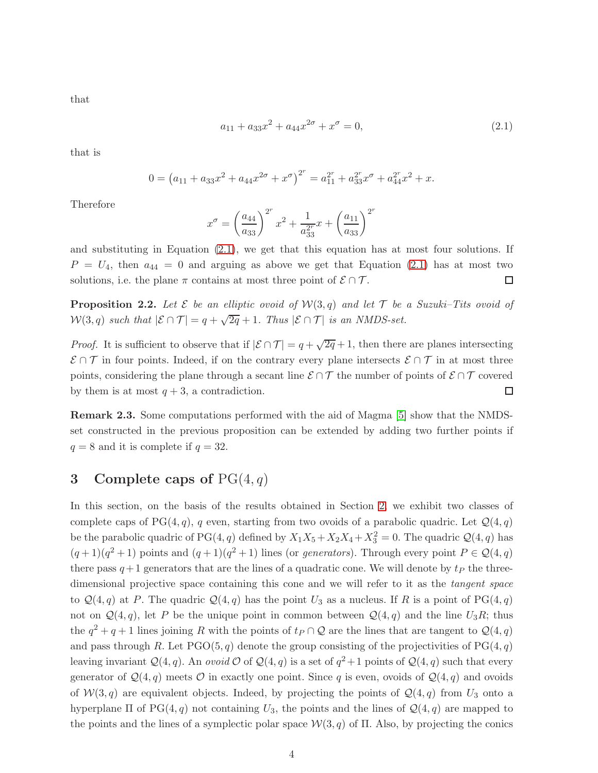that

<span id="page-3-1"></span>
$$
a_{11} + a_{33}x^2 + a_{44}x^{2\sigma} + x^{\sigma} = 0,
$$
\n(2.1)

that is

$$
0 = (a_{11} + a_{33}x^2 + a_{44}x^{2\sigma} + x^{\sigma})^{2^r} = a_{11}^{2^r} + a_{33}^{2^r}x^{\sigma} + a_{44}^{2^r}x^2 + x.
$$

Therefore

$$
x^{\sigma} = \left(\frac{a_{44}}{a_{33}}\right)^{2^r} x^2 + \frac{1}{a_{33}^{2^r}} x + \left(\frac{a_{11}}{a_{33}}\right)^{2^r}
$$

and substituting in Equation  $(2.1)$ , we get that this equation has at most four solutions. If  $P = U_4$ , then  $a_{44} = 0$  and arguing as above we get that Equation [\(2.1\)](#page-3-1) has at most two solutions, i.e. the plane  $\pi$  contains at most three point of  $\mathcal{E} \cap \mathcal{T}$ . □

**Proposition 2.2.** Let  $\mathcal E$  be an elliptic ovoid of  $\mathcal W(3,q)$  and let  $\mathcal T$  be a Suzuki–Tits ovoid of  $W(3,q)$  such that  $|\mathcal{E} \cap \mathcal{T}| = q + \sqrt{2q} + 1$ . Thus  $|\mathcal{E} \cap \mathcal{T}|$  is an NMDS-set.

*Proof.* It is sufficient to observe that if  $|\mathcal{E} \cap \mathcal{T}| = q + \sqrt{2q} + 1$ , then there are planes intersecting  $\mathcal{E} \cap \mathcal{T}$  in four points. Indeed, if on the contrary every plane intersects  $\mathcal{E} \cap \mathcal{T}$  in at most three points, considering the plane through a secant line  $\mathcal{E} \cap \mathcal{T}$  the number of points of  $\mathcal{E} \cap \mathcal{T}$  covered  $\Box$ by them is at most  $q + 3$ , a contradiction.

Remark 2.3. Some computations performed with the aid of Magma [\[5\]](#page-15-8) show that the NMDSset constructed in the previous proposition can be extended by adding two further points if  $q = 8$  and it is complete if  $q = 32$ .

## <span id="page-3-0"></span>3 Complete caps of  $PG(4, q)$

In this section, on the basis of the results obtained in Section [2,](#page-1-0) we exhibit two classes of complete caps of PG(4, q), q even, starting from two ovoids of a parabolic quadric. Let  $\mathcal{Q}(4, q)$ be the parabolic quadric of PG(4, q) defined by  $X_1X_5 + X_2X_4 + X_3^2 = 0$ . The quadric  $\mathcal{Q}(4, q)$  has  $(q+1)(q^2+1)$  points and  $(q+1)(q^2+1)$  lines (or *generators*). Through every point  $P \in \mathcal{Q}(4,q)$ there pass  $q+1$  generators that are the lines of a quadratic cone. We will denote by  $t_P$  the threedimensional projective space containing this cone and we will refer to it as the *tangent space* to  $\mathcal{Q}(4,q)$  at P. The quadric  $\mathcal{Q}(4,q)$  has the point  $U_3$  as a nucleus. If R is a point of PG(4, q) not on  $\mathcal{Q}(4,q)$ , let P be the unique point in common between  $\mathcal{Q}(4,q)$  and the line  $U_3R$ ; thus the  $q^2 + q + 1$  lines joining R with the points of  $t_P \cap Q$  are the lines that are tangent to  $\mathcal{Q}(4, q)$ and pass through R. Let  $PGO(5, q)$  denote the group consisting of the projectivities of  $PG(4, q)$ leaving invariant  $\mathcal{Q}(4,q)$ . An *ovoid*  $\mathcal{O}$  of  $\mathcal{Q}(4,q)$  is a set of  $q^2+1$  points of  $\mathcal{Q}(4,q)$  such that every generator of  $\mathcal{Q}(4,q)$  meets  $\mathcal O$  in exactly one point. Since q is even, ovoids of  $\mathcal{Q}(4,q)$  and ovoids of  $W(3, q)$  are equivalent objects. Indeed, by projecting the points of  $\mathcal{Q}(4, q)$  from  $U_3$  onto a hyperplane  $\Pi$  of PG(4, q) not containing  $U_3$ , the points and the lines of  $\mathcal{Q}(4,q)$  are mapped to the points and the lines of a symplectic polar space  $W(3, q)$  of  $\Pi$ . Also, by projecting the conics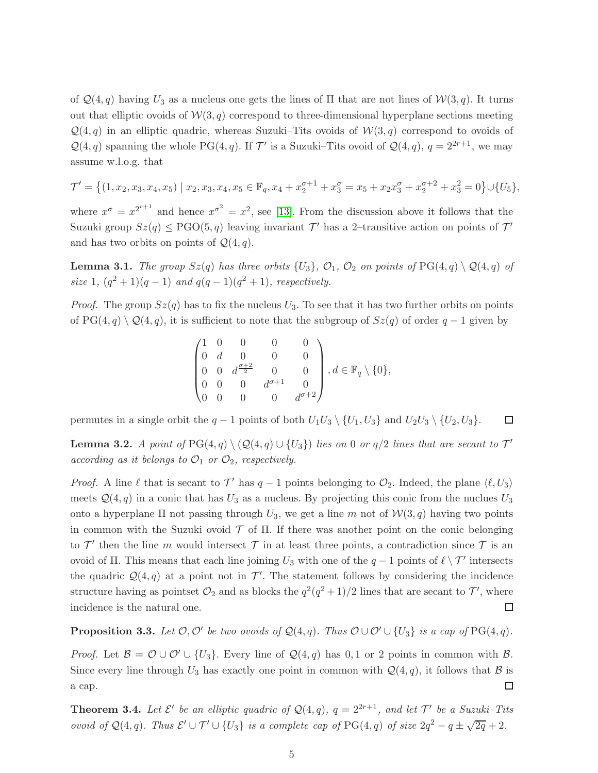of  $\mathcal{Q}(4, q)$  having  $U_3$  as a nucleus one gets the lines of  $\Pi$  that are not lines of  $\mathcal{W}(3, q)$ . It turns out that elliptic ovoids of  $W(3, q)$  correspond to three-dimensional hyperplane sections meeting  $\mathcal{Q}(4, q)$  in an elliptic quadric, whereas Suzuki–Tits ovoids of  $\mathcal{W}(3, q)$  correspond to ovoids of  $\mathcal{Q}(4,q)$  spanning the whole PG(4, q). If  $\mathcal{T}'$  is a Suzuki–Tits ovoid of  $\mathcal{Q}(4,q)$ ,  $q = 2^{2r+1}$ , we may assume w.l.o.g. that

$$
\mathcal{T}' = \left\{ (1, x_2, x_3, x_4, x_5) \mid x_2, x_3, x_4, x_5 \in \mathbb{F}_q, x_4 + x_2^{\sigma+1} + x_3^{\sigma} = x_5 + x_2 x_3^{\sigma} + x_2^{\sigma+2} + x_3^2 = 0 \right\} \cup \{U_5\},
$$

where  $x^{\sigma} = x^{2^{r+1}}$  and hence  $x^{\sigma^2} = x^2$ , see [\[13\]](#page-15-9). From the discussion above it follows that the Suzuki group  $Sz(q) \leq PGO(5, q)$  leaving invariant  $\mathcal{T}'$  has a 2-transitive action on points of  $\mathcal{T}'$ and has two orbits on points of  $\mathcal{Q}(4,q)$ .

**Lemma 3.1.** The group  $Sz(q)$  has three orbits  $\{U_3\}$ ,  $\mathcal{O}_1$ ,  $\mathcal{O}_2$  on points of PG(4, q)  $\setminus \mathcal{Q}(4,q)$  of size 1,  $(q^2 + 1)(q - 1)$  and  $q(q - 1)(q^2 + 1)$ , respectively.

*Proof.* The group  $Sz(q)$  has to fix the nucleus  $U_3$ . To see that it has two further orbits on points of PG(4, q)  $\mathcal{Q}(4, q)$ , it is sufficient to note that the subgroup of  $Sz(q)$  of order  $q-1$  given by

$$
\begin{pmatrix}\n1 & 0 & 0 & 0 & 0 \\
0 & d & 0 & 0 & 0 \\
0 & 0 & d^{\frac{\sigma+2}{2}} & 0 & 0 \\
0 & 0 & 0 & d^{\sigma+1} & 0 \\
0 & 0 & 0 & 0 & d^{\sigma+2}\n\end{pmatrix}, d \in \mathbb{F}_q \setminus \{0\},\
$$

permutes in a single orbit the  $q-1$  points of both  $U_1U_3 \setminus \{U_1, U_3\}$  and  $U_2U_3 \setminus \{U_2, U_3\}$ .  $\Box$ 

<span id="page-4-0"></span>**Lemma 3.2.** A point of  $PG(4,q) \setminus (Q(4,q) \cup \{U_3\})$  lies on 0 or  $q/2$  lines that are secant to  $\mathcal{T}'$ according as it belongs to  $\mathcal{O}_1$  or  $\mathcal{O}_2$ , respectively.

*Proof.* A line  $\ell$  that is secant to  $\mathcal{T}'$  has  $q-1$  points belonging to  $\mathcal{O}_2$ . Indeed, the plane  $\langle \ell, U_3 \rangle$ meets  $\mathcal{Q}(4,q)$  in a conic that has  $U_3$  as a nucleus. By projecting this conic from the nuclues  $U_3$ onto a hyperplane  $\Pi$  not passing through  $U_3$ , we get a line m not of  $W(3, q)$  having two points in common with the Suzuki ovoid  $\mathcal T$  of  $\Pi$ . If there was another point on the conic belonging to  $\mathcal{T}'$  then the line m would intersect  $\mathcal T$  in at least three points, a contradiction since  $\mathcal T$  is an ovoid of Π. This means that each line joining  $U_3$  with one of the  $q-1$  points of  $\ell \setminus \mathcal{T}'$  intersects the quadric  $\mathcal{Q}(4,q)$  at a point not in  $\mathcal{T}'$ . The statement follows by considering the incidence structure having as pointset  $\mathcal{O}_2$  and as blocks the  $q^2(q^2+1)/2$  lines that are secant to  $\mathcal{T}'$ , where incidence is the natural one. □

**Proposition 3.3.** Let  $\mathcal{O}, \mathcal{O}'$  be two ovoids of  $\mathcal{Q}(4,q)$ . Thus  $\mathcal{O} \cup \mathcal{O}' \cup \{U_3\}$  is a cap of  $PG(4,q)$ .

*Proof.* Let  $\mathcal{B} = \mathcal{O} \cup \mathcal{O}' \cup \{U_3\}$ . Every line of  $\mathcal{Q}(4,q)$  has 0,1 or 2 points in common with  $\mathcal{B}$ . Since every line through  $U_3$  has exactly one point in common with  $\mathcal{Q}(4, q)$ , it follows that  $\mathcal B$  is a cap.  $\Box$ 

**Theorem 3.4.** Let  $\mathcal{E}'$  be an elliptic quadric of  $\mathcal{Q}(4,q)$ ,  $q = 2^{2r+1}$ , and let  $\mathcal{T}'$  be a Suzuki-Tits ovoid of  $\mathcal{Q}(4,q)$ . Thus  $\mathcal{E}' \cup \mathcal{T}' \cup \{U_3\}$  is a complete cap of  $PG(4,q)$  of size  $2q^2 - q \pm \sqrt{2q} + 2$ .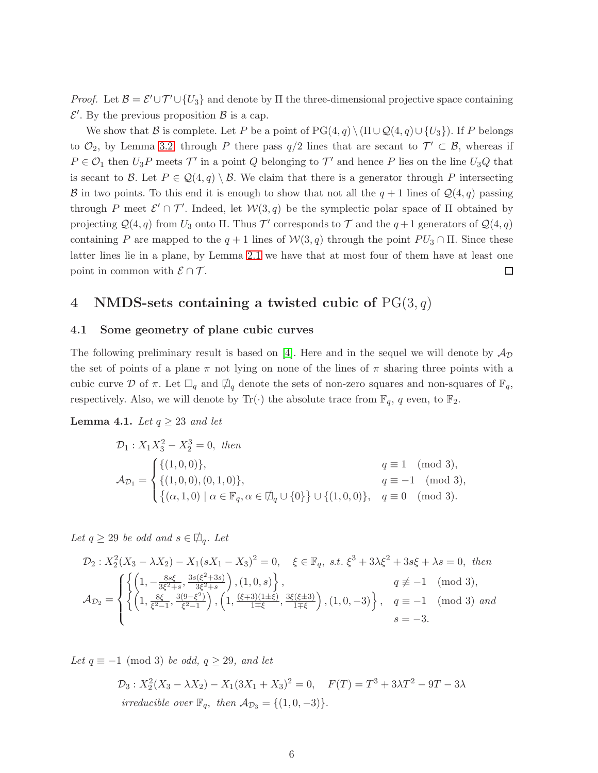*Proof.* Let  $\mathcal{B} = \mathcal{E}' \cup \mathcal{T}' \cup \{U_3\}$  and denote by  $\Pi$  the three-dimensional projective space containing  $\mathcal{E}'$ . By the previous proposition  $\mathcal{B}$  is a cap.

We show that B is complete. Let P be a point of  $PG(4, q) \setminus (\Pi \cup Q(4, q) \cup \{U_3\})$ . If P belongs to  $\mathcal{O}_2$ , by Lemma [3.2,](#page-4-0) through P there pass  $q/2$  lines that are secant to  $\mathcal{T}' \subset \mathcal{B}$ , whereas if  $P \in \mathcal{O}_1$  then  $U_3P$  meets  $\mathcal{T}'$  in a point  $Q$  belonging to  $\mathcal{T}'$  and hence  $P$  lies on the line  $U_3Q$  that is secant to B. Let  $P \in \mathcal{Q}(4,q) \setminus \mathcal{B}$ . We claim that there is a generator through P intersecting B in two points. To this end it is enough to show that not all the  $q + 1$  lines of  $\mathcal{Q}(4, q)$  passing through P meet  $\mathcal{E}' \cap \mathcal{T}'$ . Indeed, let  $\mathcal{W}(3,q)$  be the symplectic polar space of  $\Pi$  obtained by projecting  $\mathcal{Q}(4, q)$  from  $U_3$  onto  $\Pi$ . Thus  $\mathcal{T}'$  corresponds to  $\mathcal{T}$  and the  $q+1$  generators of  $\mathcal{Q}(4, q)$ containing P are mapped to the  $q + 1$  lines of  $W(3, q)$  through the point  $PU_3 \cap \Pi$ . Since these latter lines lie in a plane, by Lemma [2.1](#page-2-0) we have that at most four of them have at least one point in common with  $\mathcal{E} \cap \mathcal{T}$ .  $\Box$ 

# <span id="page-5-0"></span>4 NMDS-sets containing a twisted cubic of  $PG(3, q)$

#### 4.1 Some geometry of plane cubic curves

The following preliminary result is based on [\[4\]](#page-14-3). Here and in the sequel we will denote by  $\mathcal{A}_{\mathcal{D}}$ the set of points of a plane  $\pi$  not lying on none of the lines of  $\pi$  sharing three points with a cubic curve D of  $\pi$ . Let  $\Box_q$  and  $\Box_q$  denote the sets of non-zero squares and non-squares of  $\mathbb{F}_q$ , respectively. Also, we will denote by  $\text{Tr}(\cdot)$  the absolute trace from  $\mathbb{F}_q$ , q even, to  $\mathbb{F}_2$ .

### <span id="page-5-1"></span>**Lemma 4.1.** Let  $q \geq 23$  and let

$$
\mathcal{D}_1: X_1 X_3^2 - X_2^3 = 0, \text{ then}
$$
\n
$$
\mathcal{A}_{\mathcal{D}_1} = \begin{cases}\n\{(1,0,0)\}, & q \equiv 1 \pmod{3}, \\
\{(1,0,0), (0,1,0)\}, & q \equiv -1 \pmod{3}, \\
\{(a,1,0) \mid \alpha \in \mathbb{F}_q, \alpha \in \mathcal{D}_q \cup \{0\}\} \cup \{(1,0,0)\}, & q \equiv 0 \pmod{3}.\n\end{cases}
$$

Let  $q \ge 29$  be odd and  $s \in \mathcal{D}_q$ . Let

$$
\mathcal{D}_2: X_2^2(X_3 - \lambda X_2) - X_1(sX_1 - X_3)^2 = 0, \quad \xi \in \mathbb{F}_q, \text{ s.t. } \xi^3 + 3\lambda \xi^2 + 3s\xi + \lambda s = 0, \text{ then}
$$
\n
$$
\mathcal{A}_{\mathcal{D}_2} = \begin{cases}\n\left\{\left(1, -\frac{8s\xi}{3\xi^2 + s}, \frac{3s(\xi^2 + 3s)}{3\xi^2 + s}\right), (1, 0, s)\right\}, & q \not\equiv -1 \pmod{3}, \\
\left\{\left(1, \frac{8\xi}{\xi^2 - 1}, \frac{3(9 - \xi^2)}{\xi^2 - 1}\right), \left(1, \frac{(\xi \mp 3)(1 \pm \xi)}{1 \mp \xi}, \frac{3\xi(\xi \pm 3)}{1 \mp \xi}\right), (1, 0, -3)\right\}, & q \equiv -1 \pmod{3} \text{ and} \\
s = -3.\n\end{cases}
$$

Let  $q \equiv -1 \pmod{3}$  be odd,  $q \ge 29$ , and let

$$
\mathcal{D}_3: X_2^2(X_3 - \lambda X_2) - X_1(3X_1 + X_3)^2 = 0, \quad F(T) = T^3 + 3\lambda T^2 - 9T - 3\lambda
$$
  
irreducible over  $\mathbb{F}_q$ , then  $\mathcal{A}_{\mathcal{D}_3} = \{(1, 0, -3)\}.$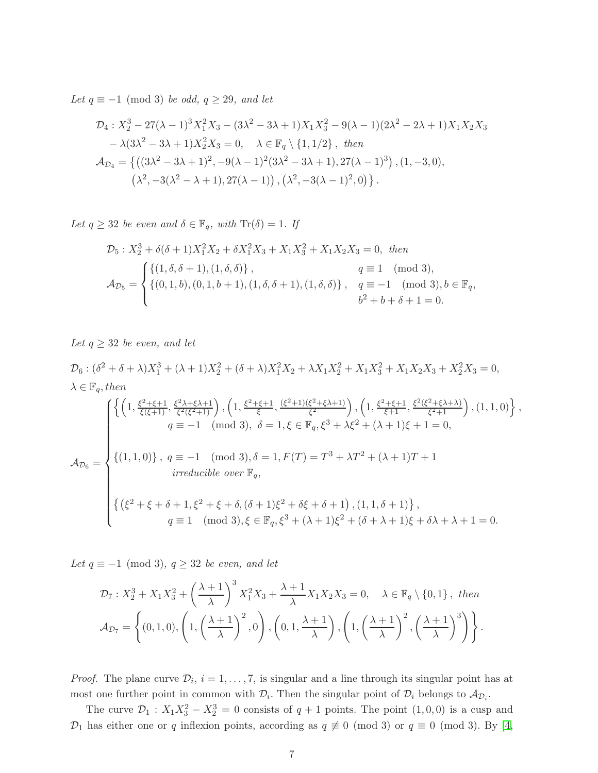Let  $q \equiv -1 \pmod{3}$  be odd,  $q \ge 29$ , and let

$$
\mathcal{D}_4: X_2^3 - 27(\lambda - 1)^3 X_1^2 X_3 - (3\lambda^2 - 3\lambda + 1) X_1 X_3^2 - 9(\lambda - 1)(2\lambda^2 - 2\lambda + 1) X_1 X_2 X_3
$$
  
\n
$$
- \lambda (3\lambda^2 - 3\lambda + 1) X_2^2 X_3 = 0, \quad \lambda \in \mathbb{F}_q \setminus \{1, 1/2\}, \text{ then}
$$
  
\n
$$
\mathcal{A}_{\mathcal{D}_4} = \left\{ \left( (3\lambda^2 - 3\lambda + 1)^2, -9(\lambda - 1)^2 (3\lambda^2 - 3\lambda + 1), 27(\lambda - 1)^3 \right), (1, -3, 0), \right.
$$
  
\n
$$
(\lambda^2, -3(\lambda^2 - \lambda + 1), 27(\lambda - 1)), (\lambda^2, -3(\lambda - 1)^2, 0) \right\}.
$$

Let  $q \geq 32$  be even and  $\delta \in \mathbb{F}_q$ , with  $\text{Tr}(\delta) = 1$ . If

$$
\mathcal{D}_5: X_2^3 + \delta(\delta+1)X_1^2X_2 + \delta X_1^2X_3 + X_1X_3^2 + X_1X_2X_3 = 0, \text{ then}
$$
\n
$$
\mathcal{A}_{\mathcal{D}_5} = \begin{cases}\n\{(1, \delta, \delta+1), (1, \delta, \delta)\}, & q \equiv 1 \pmod{3}, \\
\{(0, 1, b), (0, 1, b+1), (1, \delta, \delta+1), (1, \delta, \delta)\}, & q \equiv -1 \pmod{3}, b \in \mathbb{F}_q, \\
b^2 + b + \delta + 1 = 0.\n\end{cases}
$$

Let  $q \geq 32$  be even, and let

$$
\mathcal{D}_{6}: (\delta^{2} + \delta + \lambda)X_{1}^{3} + (\lambda + 1)X_{2}^{2} + (\delta + \lambda)X_{1}^{2}X_{2} + \lambda X_{1}X_{2}^{2} + X_{1}X_{3}^{2} + X_{1}X_{2}X_{3} + X_{2}^{2}X_{3} = 0,
$$
\n
$$
\lambda \in \mathbb{F}_{q}, then
$$
\n
$$
\left\{ \left( 1, \frac{\xi^{2} + \xi + 1}{\xi(\xi + 1)}, \frac{\xi^{2} \lambda + \xi \lambda + 1}{\xi^{2}(\xi^{2} + 1)} \right), \left( 1, \frac{\xi^{2} + \xi + 1}{\xi}, \frac{(\xi^{2} + 1)(\xi^{2} + \xi \lambda + 1)}{\xi^{2}} \right), \left( 1, \frac{\xi^{2} + \xi + 1}{\xi + 1}, \frac{\xi^{2}(\xi^{2} + \xi \lambda + \lambda)}{\xi^{2} + 1} \right), (1, 1, 0) \right\},
$$
\n
$$
q \equiv -1 \pmod{3}, \delta = 1, \xi \in \mathbb{F}_{q}, \xi^{3} + \lambda \xi^{2} + (\lambda + 1)\xi + 1 = 0,
$$
\n
$$
\mathcal{A}_{\mathcal{D}_{6}} = \left\{ \left( 1, 1, 0 \right) \right\}, q \equiv -1 \pmod{3}, \delta = 1, F(T) = T^{3} + \lambda T^{2} + (\lambda + 1)T + 1
$$
\n*irreducible over*  $\mathbb{F}_{q},$ \n
$$
\left\{ \left( \xi^{2} + \xi + \delta + 1, \xi^{2} + \xi + \delta, (\delta + 1)\xi^{2} + \delta\xi + \delta + 1 \right), (1, 1, \delta + 1) \right\},
$$
\n
$$
q \equiv 1 \pmod{3}, \xi \in \mathbb{F}_{q}, \xi^{3} + (\lambda + 1)\xi^{2} + (\delta + \lambda + 1)\xi + \delta\lambda + \lambda + 1 = 0.
$$

Let  $q \equiv -1 \pmod{3}$ ,  $q \geq 32$  be even, and let

$$
\mathcal{D}_7: X_2^3 + X_1 X_3^2 + \left(\frac{\lambda + 1}{\lambda}\right)^3 X_1^2 X_3 + \frac{\lambda + 1}{\lambda} X_1 X_2 X_3 = 0, \quad \lambda \in \mathbb{F}_q \setminus \{0, 1\}, \text{ then}
$$

$$
\mathcal{A}_{\mathcal{D}_7} = \left\{ (0, 1, 0), \left(1, \left(\frac{\lambda + 1}{\lambda}\right)^2, 0\right), \left(0, 1, \frac{\lambda + 1}{\lambda}\right), \left(1, \left(\frac{\lambda + 1}{\lambda}\right)^2, \left(\frac{\lambda + 1}{\lambda}\right)^3\right) \right\}.
$$

*Proof.* The plane curve  $\mathcal{D}_i$ ,  $i = 1, \ldots, 7$ , is singular and a line through its singular point has at most one further point in common with  $\mathcal{D}_i$ . Then the singular point of  $\mathcal{D}_i$  belongs to  $\mathcal{A}_{\mathcal{D}_i}$ .

The curve  $\mathcal{D}_1$ :  $X_1 X_3^2 - X_2^3 = 0$  consists of  $q + 1$  points. The point  $(1, 0, 0)$  is a cusp and  $\mathcal{D}_1$  has either one or q inflexion points, according as  $q \not\equiv 0 \pmod{3}$  or  $q \equiv 0 \pmod{3}$ . By [\[4,](#page-14-3)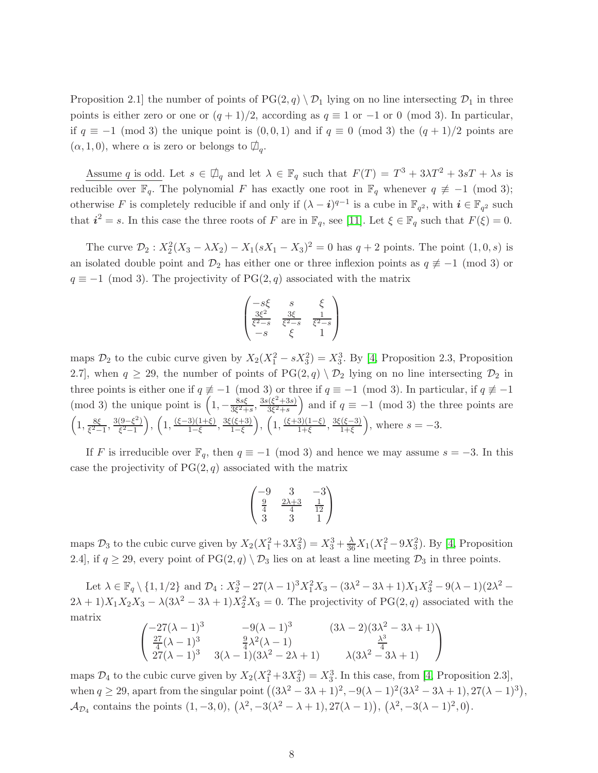Proposition 2.1 the number of points of  $PG(2,q) \setminus \mathcal{D}_1$  lying on no line intersecting  $\mathcal{D}_1$  in three points is either zero or one or  $(q + 1)/2$ , according as  $q \equiv 1$  or  $-1$  or 0 (mod 3). In particular, if  $q \equiv -1 \pmod{3}$  the unique point is  $(0, 0, 1)$  and if  $q \equiv 0 \pmod{3}$  the  $(q + 1)/2$  points are  $(\alpha, 1, 0)$ , where  $\alpha$  is zero or belongs to  $\Box_q$ .

Assume q is odd. Let  $s \in \mathcal{D}_q$  and let  $\lambda \in \mathbb{F}_q$  such that  $F(T) = T^3 + 3\lambda T^2 + 3sT + \lambda s$  is reducible over  $\mathbb{F}_q$ . The polynomial F has exactly one root in  $\mathbb{F}_q$  whenever  $q \not\equiv -1 \pmod{3}$ ; otherwise F is completely reducible if and only if  $(\lambda - i)^{q-1}$  is a cube in  $\mathbb{F}_{q^2}$ , with  $i \in \mathbb{F}_{q^2}$  such that  $i^2 = s$ . In this case the three roots of F are in  $\mathbb{F}_q$ , see [\[11\]](#page-15-7). Let  $\xi \in \mathbb{F}_q$  such that  $F(\xi) = 0$ .

The curve  $\mathcal{D}_2$ :  $X_2^2(X_3 - \lambda X_2) - X_1(sX_1 - X_3)^2 = 0$  has  $q + 2$  points. The point  $(1, 0, s)$  is an isolated double point and  $\mathcal{D}_2$  has either one or three inflexion points as  $q \neq -1 \pmod{3}$  or  $q \equiv -1 \pmod{3}$ . The projectivity of PG(2, q) associated with the matrix

$$
\begin{pmatrix}\n-s\xi & s & \xi \\
\frac{3\xi^2}{\xi^2 - s} & \frac{3\xi}{\xi^2 - s} & \frac{1}{\xi^2 - s} \\
-s & \xi & 1\n\end{pmatrix}
$$

maps  $\mathcal{D}_2$  to the cubic curve given by  $X_2(X_1^2 - sX_3^2) = X_3^3$ . By [\[4,](#page-14-3) Proposition 2.3, Proposition 2.7], when  $q \ge 29$ , the number of points of  $PG(2,q) \setminus \mathcal{D}_2$  lying on no line intersecting  $\mathcal{D}_2$  in three points is either one if  $q \not\equiv -1 \pmod{3}$  or three if  $q \equiv -1 \pmod{3}$ . In particular, if  $q \not\equiv -1$ (mod 3) the unique point is  $\left(1, -\frac{8s\xi}{3\xi^2 + 1}\right)$  $\frac{8s\xi}{3\xi^2+s}, \frac{3s(\xi^2+3s)}{3\xi^2+s}$  $\frac{(\xi^2+3s)}{3\xi^2+s}$  and if  $q \equiv -1 \pmod{3}$  the three points are  $\left(1,\frac{8\xi}{\epsilon^2}\right)$  $\frac{8\xi}{\xi^2-1}, \frac{3(9-\xi^2)}{\xi^2-1}$  $\left(\frac{(9-\xi^2)}{\xi^2-1}\right), \left(1, \frac{(\xi-3)(1+\xi)}{1-\xi}\right)$  $\frac{3(1+\xi)}{1-\xi}, \frac{3\xi(\xi+3)}{1-\xi}$  $\frac{(\xi+3)}{1-\xi}$ ,  $\left(1, \frac{(\xi+3)(1-\xi)}{1+\xi}\right)$  $\frac{3(1-\xi)}{1+\xi}, \frac{3\xi(\xi-3)}{1+\xi}$  $\frac{f(\xi-3)}{1+\xi}$ , where  $s=-3$ .

If F is irreducible over  $\mathbb{F}_q$ , then  $q \equiv -1 \pmod{3}$  and hence we may assume  $s = -3$ . In this case the projectivity of  $PG(2, q)$  associated with the matrix

$$
\begin{pmatrix}\n-9 & 3 & -3 \\
\frac{9}{4} & \frac{2\lambda+3}{4} & \frac{1}{12} \\
3 & 3 & 1\n\end{pmatrix}
$$

maps  $\mathcal{D}_3$  to the cubic curve given by  $X_2(X_1^2 + 3X_3^2) = X_3^3 + \frac{\lambda}{36}X_1(X_1^2 - 9X_3^2)$ . By [\[4,](#page-14-3) Proposition 2.4], if  $q \ge 29$ , every point of PG(2, q)  $\setminus \mathcal{D}_3$  lies on at least a line meeting  $\mathcal{D}_3$  in three points.

Let  $\lambda \in \mathbb{F}_q \setminus \{1, 1/2\}$  and  $\mathcal{D}_4 : X_2^3 - 27(\lambda - 1)^3 X_1^2 X_3 - (3\lambda^2 - 3\lambda + 1) X_1 X_3^2 - 9(\lambda - 1)(2\lambda^2 2\lambda + 1$ ) $X_1X_2X_3 - \lambda(3\lambda^2 - 3\lambda + 1)X_2^2X_3 = 0$ . The projectivity of PG(2, q) associated with the matrix

$$
\begin{pmatrix}\n-27(\lambda - 1)^3 & -9(\lambda - 1)^3 & (3\lambda - 2)(3\lambda^2 - 3\lambda + 1) \\
\frac{27}{4}(\lambda - 1)^3 & \frac{9}{4}\lambda^2(\lambda - 1) & \frac{\lambda^3}{4} \\
27(\lambda - 1)^3 & 3(\lambda - 1)(3\lambda^2 - 2\lambda + 1) & \lambda(3\lambda^2 - 3\lambda + 1)\n\end{pmatrix}
$$

maps  $\mathcal{D}_4$  to the cubic curve given by  $X_2(X_1^2 + 3X_3^2) = X_3^3$ . In this case, from [\[4,](#page-14-3) Proposition 2.3], when  $q \ge 29$ , apart from the singular point  $((3\lambda^2 - 3\lambda + 1)^2, -9(\lambda - 1)^2(3\lambda^2 - 3\lambda + 1), 27(\lambda - 1)^3)$ ,  $\mathcal{A}_{\mathcal{D}_4}$  contains the points  $(1, -3, 0), (\lambda^2, -3(\lambda^2 - \lambda + 1), 27(\lambda - 1)), (\lambda^2, -3(\lambda - 1)^2, 0).$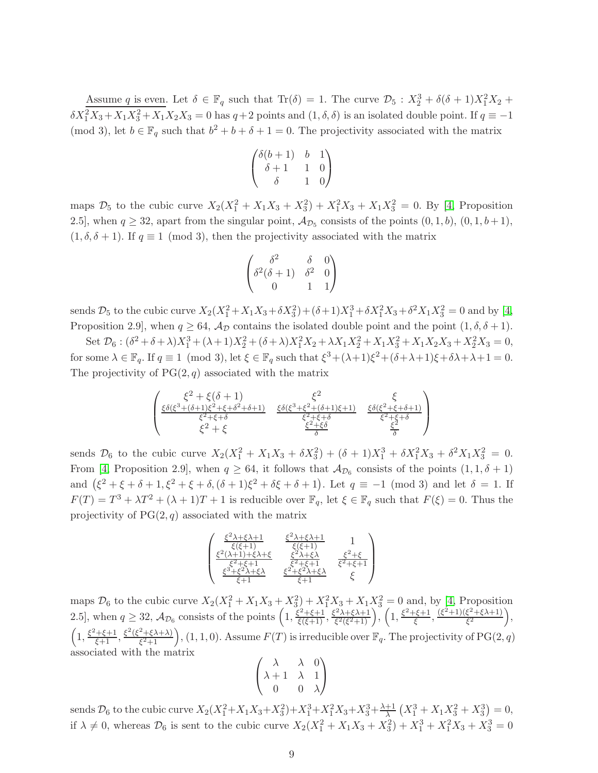Assume q is even. Let  $\delta \in \mathbb{F}_q$  such that  $\text{Tr}(\delta) = 1$ . The curve  $\mathcal{D}_5 : X_2^3 + \delta(\delta + 1)X_1^2X_2 +$  $\delta X_1^2 X_3 + X_1 X_3^2 + X_1 X_2 X_3 = 0$  has  $q+2$  points and  $(1, \delta, \delta)$  is an isolated double point. If  $q \equiv -1$ (mod 3), let  $b \in \mathbb{F}_q$  such that  $b^2 + b + \delta + 1 = 0$ . The projectivity associated with the matrix

$$
\begin{pmatrix}\n\delta(b+1) & b & 1 \\
\delta+1 & 1 & 0 \\
\delta & 1 & 0\n\end{pmatrix}
$$

maps  $\mathcal{D}_5$  to the cubic curve  $X_2(X_1^2 + X_1X_3 + X_3^2) + X_1^2X_3 + X_1X_3^2 = 0$ . By [\[4,](#page-14-3) Proposition 2.5], when  $q \ge 32$ , apart from the singular point,  $A_{\mathcal{D}_5}$  consists of the points  $(0, 1, b)$ ,  $(0, 1, b+1)$ ,  $(1, \delta, \delta + 1)$ . If  $q \equiv 1 \pmod{3}$ , then the projectivity associated with the matrix

$$
\begin{pmatrix} \delta^2 & \delta & 0 \\ \delta^2(\delta+1) & \delta^2 & 0 \\ 0 & 1 & 1 \end{pmatrix}
$$

sends  $\mathcal{D}_5$  to the cubic curve  $X_2(X_1^2 + X_1X_3 + \delta X_3^2) + (\delta + 1)X_1^3 + \delta X_1^2X_3 + \delta^2 X_1X_3^2 = 0$  and by [\[4,](#page-14-3) Proposition 2.9, when  $q \geq 64$ ,  $\mathcal{A}_{\mathcal{D}}$  contains the isolated double point and the point  $(1, \delta, \delta + 1)$ .

Set  $\mathcal{D}_6$ :  $(\delta^2 + \delta + \lambda)X_1^3 + (\lambda + 1)X_2^2 + (\delta + \lambda)X_1^2X_2 + \lambda X_1X_2^2 + X_1X_3^2 + X_1X_2X_3 + X_2^2X_3 = 0,$ for some  $\lambda \in \mathbb{F}_q$ . If  $q \equiv 1 \pmod{3}$ , let  $\xi \in \mathbb{F}_q$  such that  $\xi^3 + (\lambda + 1)\xi^2 + (\delta + \lambda + 1)\xi + \delta\lambda + \lambda + 1 = 0$ . The projectivity of  $PG(2, q)$  associated with the matrix

$$
\begin{pmatrix}\n\xi^2 + \xi(\delta + 1) & \xi^2 & \xi \\
\frac{\xi\delta(\xi^3 + (\delta + 1)\xi^2 + \xi + \delta^2 + \delta + 1)}{\xi^2 + \xi + \delta} & \frac{\xi\delta(\xi^3 + \xi^2 + (\delta + 1)\xi + 1)}{\xi^2 + \xi + \delta} & \frac{\xi\delta(\xi^2 + \xi + \delta + 1)}{\xi^2 + \xi + \delta} \\
\xi^2 + \xi & \frac{\xi^2 + \xi}{\delta} & \frac{\xi^2}{\delta}\n\end{pmatrix}
$$

sends  $\mathcal{D}_6$  to the cubic curve  $X_2(X_1^2 + X_1X_3 + \delta X_3^2) + (\delta + 1)X_1^3 + \delta X_1^2X_3 + \delta^2 X_1X_3^2 = 0.$ From [\[4,](#page-14-3) Proposition 2.9], when  $q \ge 64$ , it follows that  $\mathcal{A}_{\mathcal{D}_6}$  consists of the points  $(1,1,\delta+1)$ and  $(\xi^2 + \xi + \delta + 1, \xi^2 + \xi + \delta, (\delta + 1)\xi^2 + \delta\xi + \delta + 1)$ . Let  $q \equiv -1 \pmod{3}$  and let  $\delta = 1$ . If  $F(T) = T^3 + \lambda T^2 + (\lambda + 1)T + 1$  is reducible over  $\mathbb{F}_q$ , let  $\xi \in \mathbb{F}_q$  such that  $F(\xi) = 0$ . Thus the projectivity of  $PG(2, q)$  associated with the matrix

$$
\begin{pmatrix}\frac{\xi^2\lambda+\xi\lambda+1}{\xi(\xi+1)}&\frac{\xi^2\lambda+\xi\lambda+1}{\xi(\xi+1)}&1\\\frac{\xi^2(\lambda+1)+\xi\lambda+\xi}{\xi^2+\xi+1}&\frac{\xi^2\lambda+\xi\lambda}{\xi^2+\xi+1}&\frac{\xi^2+\xi}{\xi^2+\xi+1}\\\frac{\xi^3+\xi^2\lambda+\xi\lambda}{\xi+1}&\frac{\xi^2+\xi^2\lambda+\xi\lambda}{\xi+1}&\xi\end{pmatrix}
$$

maps  $\mathcal{D}_6$  to the cubic curve  $X_2(X_1^2 + X_1X_3 + X_3^2) + X_1^2X_3 + X_1X_3^2 = 0$  and, by [\[4,](#page-14-3) Proposition] 2.5], when  $q \ge 32$ ,  $\mathcal{A}_{\mathcal{D}_6}$  consists of the points  $\left(1, \frac{\xi^2 + \xi + 1}{\xi(\xi+1)}, \frac{\xi^2 \lambda + \xi \lambda + 1}{\xi^2(\xi^2+1)}\right)$  $\left(1, \frac{\xi^2 + \xi + 1}{\xi^2(\xi^2 + 1)}\right), \left(1, \frac{\xi^2 + \xi + 1}{\xi}\right)$  $\frac{(\xi^2+1)(\xi^2+\xi\lambda+1)}{\xi^2}$  $\frac{\xi^2 + \xi\lambda + 1)}{\xi^2}$ ,  $\left(1, \frac{\xi^2 + \xi + 1}{\xi + 1}, \frac{\xi^2(\xi^2 + \xi \lambda + \lambda)}{\xi^2 + 1}\right)$  $\left(\frac{2+\xi\lambda+\lambda}{\xi^2+1}\right)$ ,  $(1,1,0)$ . Assume  $F(T)$  is irreducible over  $\mathbb{F}_q$ . The projectivity of PG $(2,q)$ associated with the matrix

$$
\begin{pmatrix}\n\lambda & \lambda & 0 \\
\lambda + 1 & \lambda & 1 \\
0 & 0 & \lambda\n\end{pmatrix}
$$

sends  $\mathcal{D}_6$  to the cubic curve  $X_2(X_1^2 + X_1X_3 + X_3^2) + X_1^3 + X_1^2X_3 + X_3^3 + \frac{\lambda+1}{\lambda}(X_1^3 + X_1X_3^2 + X_3^3) = 0$ , if  $\lambda \neq 0$ , whereas  $\mathcal{D}_6$  is sent to the cubic curve  $X_2(X_1^2 + X_1X_3 + X_3^2) + X_1^3 + X_1^2X_3 + X_3^3 = 0$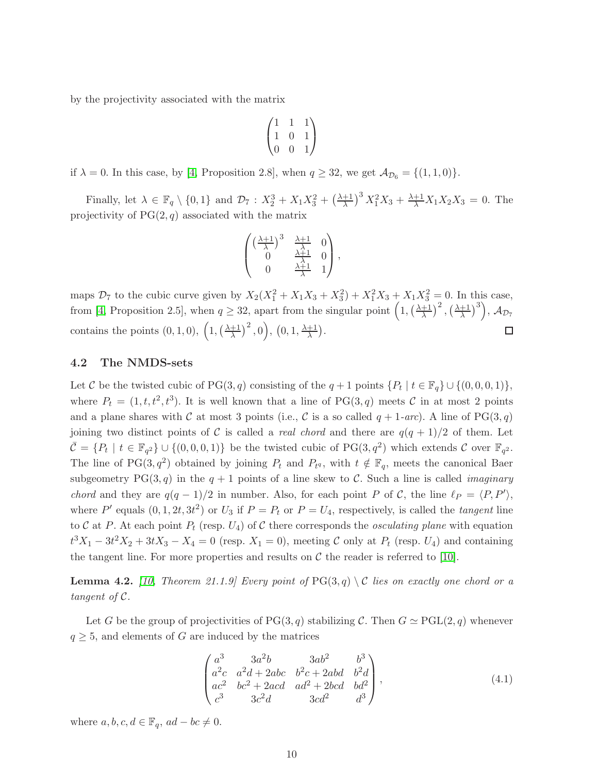by the projectivity associated with the matrix

$$
\begin{pmatrix} 1 & 1 & 1 \ 1 & 0 & 1 \ 0 & 0 & 1 \end{pmatrix}
$$

if  $\lambda = 0$ . In this case, by [\[4,](#page-14-3) Proposition 2.8], when  $q \ge 32$ , we get  $\mathcal{A}_{\mathcal{D}_6} = \{(1,1,0)\}.$ 

Finally, let  $\lambda \in \mathbb{F}_q \setminus \{0, 1\}$  and  $\mathcal{D}_7 : X_2^3 + X_1 X_3^2 + \left(\frac{\lambda + 1}{\lambda}\right)^3 X_1^2 X_3 + \frac{\lambda + 1}{\lambda} X_1 X_2 X_3 = 0$ . The projectivity of  $PG(2, q)$  associated with the matrix

$$
\begin{pmatrix}\n\left(\frac{\lambda+1}{\lambda}\right)^3 & \frac{\lambda+1}{\lambda} & 0 \\
0 & \frac{\lambda+1}{\lambda} & 0 \\
0 & \frac{\lambda+1}{\lambda} & 1\n\end{pmatrix},
$$

maps  $\mathcal{D}_7$  to the cubic curve given by  $X_2(X_1^2 + X_1X_3 + X_3^2) + X_1^2X_3 + X_1X_3^2 = 0$ . In this case, from [\[4,](#page-14-3) Proposition 2.5], when  $q \ge 32$ , apart from the singular point  $\left(1, \left(\frac{\lambda+1}{\lambda}\right)^2, \left(\frac{\lambda+1}{\lambda}\right)^3\right)$ ,  $\mathcal{A}_{\mathcal{D}_7}$ contains the points  $(0, 1, 0), (1, \left(\frac{\lambda+1}{\lambda}\right)^2, 0), (0, 1, \frac{\lambda+1}{\lambda}).$  $\Box$ 

#### 4.2 The NMDS-sets

Let C be the twisted cubic of  $PG(3, q)$  consisting of the  $q + 1$  points  $\{P_t \mid t \in \mathbb{F}_q\} \cup \{(0, 0, 0, 1)\},\$ where  $P_t = (1, t, t^2, t^3)$ . It is well known that a line of PG(3, q) meets C in at most 2 points and a plane shares with C at most 3 points (i.e., C is a so called  $q + 1$ -arc). A line of PG(3, q) joining two distinct points of C is called a *real chord* and there are  $q(q + 1)/2$  of them. Let  $\bar{\mathcal{C}} = \{P_t \mid t \in \mathbb{F}_{q^2}\} \cup \{(0,0,0,1)\}\$ be the twisted cubic of PG $(3,q^2)$  which extends  $\mathcal C$  over  $\mathbb{F}_{q^2}$ . The line of PG(3, $q^2$ ) obtained by joining  $P_t$  and  $P_{tq}$ , with  $t \notin \mathbb{F}_q$ , meets the canonical Baer subgeometry PG(3,q) in the  $q + 1$  points of a line skew to C. Such a line is called *imaginary* chord and they are  $q(q-1)/2$  in number. Also, for each point P of C, the line  $\ell_P = \langle P, P' \rangle$ , where P' equals  $(0, 1, 2t, 3t^2)$  or  $U_3$  if  $P = P_t$  or  $P = U_4$ , respectively, is called the *tangent* line to C at P. At each point  $P_t$  (resp.  $U_4$ ) of C there corresponds the *osculating plane* with equation  $t^3X_1 - 3t^2X_2 + 3tX_3 - X_4 = 0$  (resp.  $X_1 = 0$ ), meeting C only at  $P_t$  (resp.  $U_4$ ) and containing the tangent line. For more properties and results on  $\mathcal C$  the reader is referred to [\[10\]](#page-15-6).

**Lemma 4.2.** [\[10,](#page-15-6) Theorem 21.1.9] Every point of  $PG(3,q) \setminus C$  lies on exactly one chord or a tangent of C.

Let G be the group of projectivities of PG(3, q) stabilizing C. Then  $G \simeq \text{PGL}(2,q)$  whenever  $q \geq 5$ , and elements of G are induced by the matrices

$$
\begin{pmatrix} a^3 & 3a^2b & 3ab^2 & b^3 \ a^2c & a^2d + 2abc & b^2c + 2abd & b^2d \ ac^2 & bc^2 + 2acd & ad^2 + 2bcd & bd^2 \ c^3 & 3c^2d & 3cd^2 & d^3 \end{pmatrix},
$$
\n(4.1)

where  $a, b, c, d \in \mathbb{F}_q$ ,  $ad - bc \neq 0$ .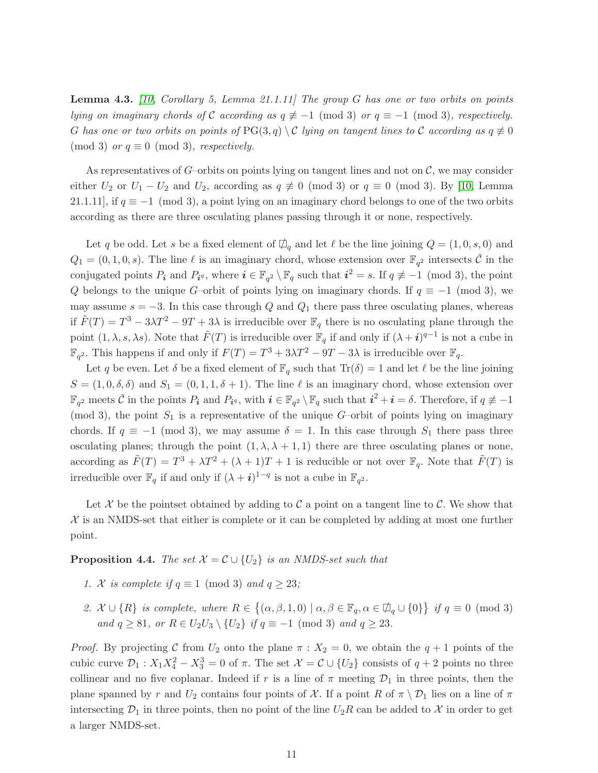**Lemma 4.3.** [\[10,](#page-15-6) Corollary 5, Lemma 21.1.11] The group G has one or two orbits on points lying on imaginary chords of C according as  $q \not\equiv -1 \pmod{3}$  or  $q \equiv -1 \pmod{3}$ , respectively. G has one or two orbits on points of  $PG(3,q) \setminus C$  lying on tangent lines to C according as  $q \neq 0$ (mod 3) or  $q \equiv 0 \pmod{3}$ , respectively.

As representatives of G–orbits on points lying on tangent lines and not on  $\mathcal{C}$ , we may consider either  $U_2$  or  $U_1 - U_2$  and  $U_2$ , according as  $q \not\equiv 0 \pmod{3}$  or  $q \equiv 0 \pmod{3}$ . By [\[10,](#page-15-6) Lemma 21.1.11], if  $q \equiv -1 \pmod{3}$ , a point lying on an imaginary chord belongs to one of the two orbits according as there are three osculating planes passing through it or none, respectively.

Let q be odd. Let s be a fixed element of  $\Box_q$  and let  $\ell$  be the line joining  $Q = (1, 0, s, 0)$  and  $Q_1 = (0, 1, 0, s)$ . The line  $\ell$  is an imaginary chord, whose extension over  $\mathbb{F}_{q^2}$  intersects  $\bar{\mathcal{C}}$  in the conjugated points  $P_i$  and  $P_{i^q}$ , where  $i \in \mathbb{F}_{q^2} \setminus \mathbb{F}_q$  such that  $i^2 = s$ . If  $q \not\equiv -1 \pmod{3}$ , the point Q belongs to the unique G–orbit of points lying on imaginary chords. If  $q \equiv -1 \pmod{3}$ , we may assume  $s = -3$ . In this case through Q and  $Q_1$  there pass three osculating planes, whereas if  $\tilde{F}(T) = T^3 - 3\lambda T^2 - 9T + 3\lambda$  is irreducible over  $\mathbb{F}_q$  there is no osculating plane through the point  $(1, \lambda, s, \lambda s)$ . Note that  $\tilde{F}(T)$  is irreducible over  $\mathbb{F}_q$  if and only if  $(\lambda + i)^{q-1}$  is not a cube in  $\mathbb{F}_{q^2}$ . This happens if and only if  $F(T) = T^3 + 3\lambda T^2 - 9T - 3\lambda$  is irreducible over  $\mathbb{F}_q$ .

Let q be even. Let  $\delta$  be a fixed element of  $\mathbb{F}_q$  such that  $\text{Tr}(\delta) = 1$  and let  $\ell$  be the line joining  $S = (1, 0, \delta, \delta)$  and  $S_1 = (0, 1, 1, \delta + 1)$ . The line  $\ell$  is an imaginary chord, whose extension over  $\mathbb{F}_{q^2}$  meets  $\bar{\mathcal{C}}$  in the points  $P_i$  and  $P_{i^q}$ , with  $i \in \mathbb{F}_{q^2} \setminus \mathbb{F}_q$  such that  $i^2 + i = \delta$ . Therefore, if  $q \not\equiv -1$ (mod 3), the point  $S_1$  is a representative of the unique G-orbit of points lying on imaginary chords. If  $q \equiv -1 \pmod{3}$ , we may assume  $\delta = 1$ . In this case through  $S_1$  there pass three osculating planes; through the point  $(1, \lambda, \lambda + 1, 1)$  there are three osculating planes or none, according as  $\tilde{F}(T) = T^3 + \lambda T^2 + (\lambda + 1)T + 1$  is reducible or not over  $\mathbb{F}_q$ . Note that  $\tilde{F}(T)$  is irreducible over  $\mathbb{F}_q$  if and only if  $(\lambda + i)^{1-q}$  is not a cube in  $\mathbb{F}_{q^2}$ .

Let X be the pointset obtained by adding to C a point on a tangent line to C. We show that  $X$  is an NMDS-set that either is complete or it can be completed by adding at most one further point.

**Proposition 4.4.** The set  $\mathcal{X} = \mathcal{C} \cup \{U_2\}$  is an NMDS-set such that

- 1. X is complete if  $q \equiv 1 \pmod{3}$  and  $q \geq 23$ ;
- 2.  $\mathcal{X} \cup \{R\}$  is complete, where  $R \in \{(\alpha, \beta, 1, 0) \mid \alpha, \beta \in \mathbb{F}_q, \alpha \in \mathbb{Z}_q \cup \{0\}\}\$ if  $q \equiv 0 \pmod{3}$ and  $q \ge 81$ , or  $R \in U_2U_3 \setminus \{U_2\}$  if  $q \equiv -1 \pmod{3}$  and  $q \ge 23$ .

*Proof.* By projecting C from  $U_2$  onto the plane  $\pi$  :  $X_2 = 0$ , we obtain the  $q + 1$  points of the cubic curve  $\mathcal{D}_1$ :  $X_1X_4^2 - X_3^3 = 0$  of  $\pi$ . The set  $\mathcal{X} = \mathcal{C} \cup \{U_2\}$  consists of  $q + 2$  points no three collinear and no five coplanar. Indeed if r is a line of  $\pi$  meeting  $\mathcal{D}_1$  in three points, then the plane spanned by r and  $U_2$  contains four points of X. If a point R of  $\pi \setminus \mathcal{D}_1$  lies on a line of  $\pi$ intersecting  $\mathcal{D}_1$  in three points, then no point of the line  $U_2R$  can be added to X in order to get a larger NMDS-set.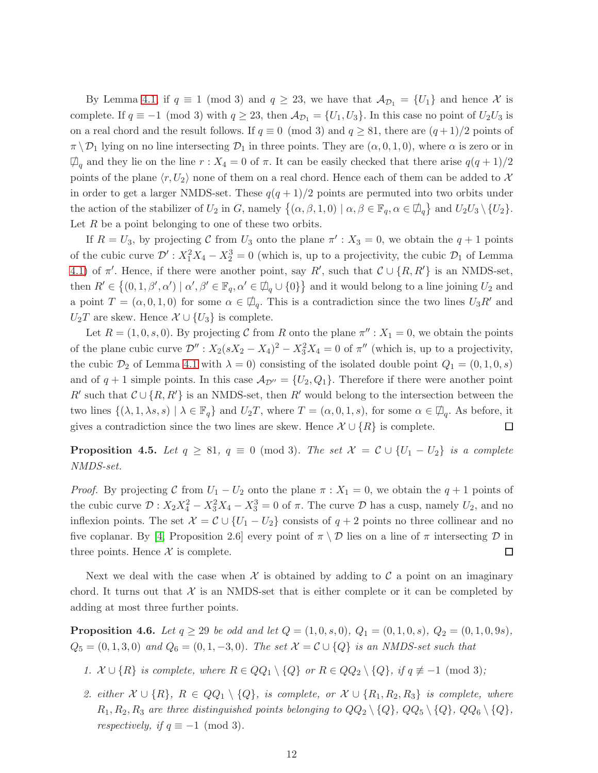By Lemma [4.1,](#page-5-1) if  $q \equiv 1 \pmod{3}$  and  $q \geq 23$ , we have that  $\mathcal{A}_{\mathcal{D}_1} = \{U_1\}$  and hence X is complete. If  $q \equiv -1 \pmod{3}$  with  $q \ge 23$ , then  $\mathcal{A}_{\mathcal{D}_1} = \{U_1, U_3\}$ . In this case no point of  $U_2U_3$  is on a real chord and the result follows. If  $q \equiv 0 \pmod{3}$  and  $q \geq 81$ , there are  $(q+1)/2$  points of  $\pi \setminus \mathcal{D}_1$  lying on no line intersecting  $\mathcal{D}_1$  in three points. They are  $(\alpha, 0, 1, 0)$ , where  $\alpha$  is zero or in  $\Box_q$  and they lie on the line  $r : X_4 = 0$  of  $\pi$ . It can be easily checked that there arise  $q(q+1)/2$ points of the plane  $\langle r, U_2 \rangle$  none of them on a real chord. Hence each of them can be added to X in order to get a larger NMDS-set. These  $q(q+1)/2$  points are permuted into two orbits under the action of the stabilizer of  $U_2$  in G, namely  $\{(\alpha, \beta, 1, 0) \mid \alpha, \beta \in \mathbb{F}_q, \alpha \in \mathbb{Z}_q\}$  and  $U_2U_3 \setminus \{U_2\}$ . Let  $R$  be a point belonging to one of these two orbits.

If  $R = U_3$ , by projecting C from  $U_3$  onto the plane  $\pi' : X_3 = 0$ , we obtain the  $q + 1$  points of the cubic curve  $\mathcal{D}'$ :  $X_1^2 X_4 - X_2^3 = 0$  (which is, up to a projectivity, the cubic  $\mathcal{D}_1$  of Lemma [4.1\)](#page-5-1) of  $\pi'$ . Hence, if there were another point, say  $R'$ , such that  $\mathcal{C} \cup \{R, R'\}$  is an NMDS-set, then  $R' \in \{(0,1,\beta',\alpha') \mid \alpha',\beta' \in \mathbb{F}_q, \alpha' \in \mathcal{D}_q \cup \{0\}\}\$ and it would belong to a line joining  $U_2$  and a point  $T = (\alpha, 0, 1, 0)$  for some  $\alpha \in \mathcal{D}_q$ . This is a contradiction since the two lines  $U_3R'$  and  $U_2T$  are skew. Hence  $\mathcal{X} \cup \{U_3\}$  is complete.

Let  $R = (1, 0, s, 0)$ . By projecting C from R onto the plane  $\pi''$  :  $X_1 = 0$ , we obtain the points of the plane cubic curve  $\mathcal{D}''$ :  $X_2(sX_2 - X_4)^2 - X_3^2X_4 = 0$  of  $\pi''$  (which is, up to a projectivity, the cubic  $\mathcal{D}_2$  of Lemma [4.1](#page-5-1) with  $\lambda = 0$ ) consisting of the isolated double point  $Q_1 = (0, 1, 0, s)$ and of  $q + 1$  simple points. In this case  $\mathcal{A}_{\mathcal{D}''} = \{U_2, Q_1\}$ . Therefore if there were another point R' such that  $C \cup \{R, R'\}$  is an NMDS-set, then R' would belong to the intersection between the two lines  $\{(\lambda, 1, \lambda s, s) \mid \lambda \in \mathbb{F}_q\}$  and  $U_2T$ , where  $T = (\alpha, 0, 1, s)$ , for some  $\alpha \in \mathcal{D}_q$ . As before, it gives a contradiction since the two lines are skew. Hence  $\mathcal{X} \cup \{R\}$  is complete. □

**Proposition 4.5.** Let  $q \ge 81$ ,  $q \equiv 0 \pmod{3}$ . The set  $\mathcal{X} = \mathcal{C} \cup \{U_1 - U_2\}$  is a complete NMDS-set.

*Proof.* By projecting C from  $U_1 - U_2$  onto the plane  $\pi : X_1 = 0$ , we obtain the  $q + 1$  points of the cubic curve  $\mathcal{D}: X_2 X_4^2 - X_3^2 X_4 - X_3^3 = 0$  of  $\pi$ . The curve  $\mathcal{D}$  has a cusp, namely  $U_2$ , and no inflexion points. The set  $\mathcal{X} = \mathcal{C} \cup \{U_1 - U_2\}$  consists of  $q + 2$  points no three collinear and no five coplanar. By [\[4,](#page-14-3) Proposition 2.6] every point of  $\pi \setminus \mathcal{D}$  lies on a line of  $\pi$  intersecting  $\mathcal{D}$  in three points. Hence  $X$  is complete.  $\Box$ 

Next we deal with the case when  $\mathcal X$  is obtained by adding to  $\mathcal C$  a point on an imaginary chord. It turns out that  $\mathcal X$  is an NMDS-set that is either complete or it can be completed by adding at most three further points.

**Proposition 4.6.** Let  $q \ge 29$  be odd and let  $Q = (1, 0, s, 0), Q_1 = (0, 1, 0, s), Q_2 = (0, 1, 0, 9s)$ ,  $Q_5 = (0, 1, 3, 0)$  and  $Q_6 = (0, 1, -3, 0)$ . The set  $X = C \cup \{Q\}$  is an NMDS-set such that

- 1.  $\mathcal{X} \cup \{R\}$  is complete, where  $R \in QQ_1 \setminus \{Q\}$  or  $R \in QQ_2 \setminus \{Q\}$ , if  $q \not\equiv -1 \pmod{3}$ ;
- 2. either  $\mathcal{X} \cup \{R\}$ ,  $R \in QQ_1 \setminus \{Q\}$ , is complete, or  $\mathcal{X} \cup \{R_1, R_2, R_3\}$  is complete, where  $R_1, R_2, R_3$  are three distinguished points belonging to  $QQ_2 \setminus \{Q\}$ ,  $QQ_5 \setminus \{Q\}$ ,  $QQ_6 \setminus \{Q\}$ , respectively, if  $q \equiv -1 \pmod{3}$ .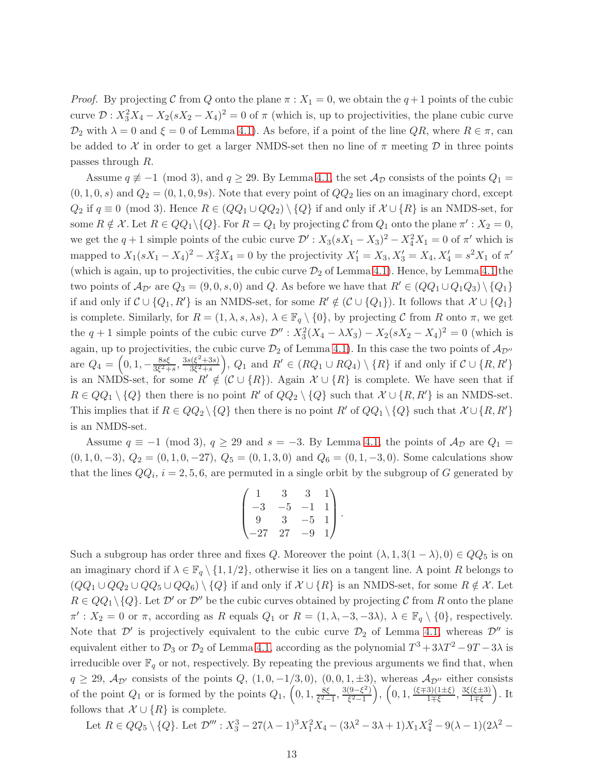*Proof.* By projecting C from Q onto the plane  $\pi$  :  $X_1 = 0$ , we obtain the  $q+1$  points of the cubic curve  $\mathcal{D}: X_3^2 X_4 - X_2(sX_2 - X_4)^2 = 0$  of  $\pi$  (which is, up to projectivities, the plane cubic curve  $\mathcal{D}_2$  with  $\lambda = 0$  and  $\xi = 0$  of Lemma [4.1\)](#page-5-1). As before, if a point of the line  $QR$ , where  $R \in \pi$ , can be added to X in order to get a larger NMDS-set then no line of  $\pi$  meeting D in three points passes through R.

Assume  $q \not\equiv -1 \pmod{3}$ , and  $q \geq 29$ . By Lemma [4.1,](#page-5-1) the set  $\mathcal{A}_{\mathcal{D}}$  consists of the points  $Q_1 =$  $(0, 1, 0, s)$  and  $Q_2 = (0, 1, 0, 9s)$ . Note that every point of  $QQ_2$  lies on an imaginary chord, except  $Q_2$  if  $q \equiv 0 \pmod{3}$ . Hence  $R \in (QQ_1 \cup QQ_2) \setminus \{Q\}$  if and only if  $\mathcal{X} \cup \{R\}$  is an NMDS-set, for some  $R \notin \mathcal{X}$ . Let  $R \in QQ_1 \setminus \{Q\}$ . For  $R = Q_1$  by projecting  $C$  from  $Q_1$  onto the plane  $\pi' : X_2 = 0$ , we get the  $q+1$  simple points of the cubic curve  $\mathcal{D}'$ :  $X_3(sX_1 - X_3)^2 - X_4^2X_1 = 0$  of  $\pi'$  which is mapped to  $X_1(sX_1 - X_4)^2 - X_3^2X_4 = 0$  by the projectivity  $X'_1 = X_3, X'_3 = X_4, X'_4 = s^2X_1$  of  $\pi'$ (which is again, up to projectivities, the cubic curve  $\mathcal{D}_2$  of Lemma [4.1\)](#page-5-1). Hence, by Lemma [4.1](#page-5-1) the two points of  $\mathcal{A}_{\mathcal{D}'}$  are  $Q_3 = (9,0,s,0)$  and Q. As before we have that  $R' \in (QQ_1 \cup Q_1Q_3) \setminus \{Q_1\}$ if and only if  $C \cup \{Q_1, R'\}$  is an NMDS-set, for some  $R' \notin (C \cup \{Q_1\})$ . It follows that  $\mathcal{X} \cup \{Q_1\}$ is complete. Similarly, for  $R = (1, \lambda, s, \lambda s)$ ,  $\lambda \in \mathbb{F}_q \setminus \{0\}$ , by projecting C from R onto  $\pi$ , we get the  $q + 1$  simple points of the cubic curve  $\mathcal{D}''$ :  $X_3^2(X_4 - \lambda X_3) - X_2(sX_2 - X_4)^2 = 0$  (which is again, up to projectivities, the cubic curve  $\mathcal{D}_2$  of Lemma [4.1\)](#page-5-1). In this case the two points of  $\mathcal{A}_{\mathcal{D}''}$ are  $Q_4 = \left(0, 1, -\frac{8s\xi}{3\xi^2 + 1}\right)$  $\frac{8s\xi}{3\xi^2+s}$ ,  $\frac{3s(\xi^2+3s)}{3\xi^2+s}$  $\overline{\mathfrak{Z}^{(2+3s)}_{3\xi^2+s}}$ ,  $Q_1$  and  $R' \in (RQ_1 \cup RQ_4) \setminus \{R\}$  if and only if  $C \cup \{R, R'\}$ is an NMDS-set, for some  $R' \notin (\mathcal{C} \cup \{R\})$ . Again  $\mathcal{X} \cup \{R\}$  is complete. We have seen that if  $R \in QQ_1 \setminus \{Q\}$  then there is no point R' of  $QQ_2 \setminus \{Q\}$  such that  $\mathcal{X} \cup \{R, R'\}$  is an NMDS-set. This implies that if  $R \in QQ_2 \setminus \{Q\}$  then there is no point  $R'$  of  $QQ_1 \setminus \{Q\}$  such that  $\mathcal{X} \cup \{R, R'\}$ is an NMDS-set.

Assume  $q \equiv -1 \pmod{3}$ ,  $q \ge 29$  and  $s = -3$ . By Lemma [4.1,](#page-5-1) the points of  $\mathcal{A}_{\mathcal{D}}$  are  $Q_1 =$  $(0, 1, 0, -3), Q_2 = (0, 1, 0, -27), Q_5 = (0, 1, 3, 0)$  and  $Q_6 = (0, 1, -3, 0)$ . Some calculations show that the lines  $QQ_i$ ,  $i = 2, 5, 6$ , are permuted in a single orbit by the subgroup of G generated by

$$
\begin{pmatrix} 1 & 3 & 3 & 1 \ -3 & -5 & -1 & 1 \ 9 & 3 & -5 & 1 \ -27 & 27 & -9 & 1 \ \end{pmatrix}.
$$

Such a subgroup has order three and fixes Q. Moreover the point  $(\lambda, 1, 3(1 - \lambda), 0) \in QQ_5$  is on an imaginary chord if  $\lambda \in \mathbb{F}_q \setminus \{1, 1/2\}$ , otherwise it lies on a tangent line. A point R belongs to  $(QQ_1 \cup QQ_2 \cup QQ_5 \cup QQ_6) \setminus \{Q\}$  if and only if  $\mathcal{X} \cup \{R\}$  is an NMDS-set, for some  $R \notin \mathcal{X}$ . Let  $R \in QQ_1 \setminus \{Q\}$ . Let  $\mathcal{D}'$  or  $\mathcal{D}''$  be the cubic curves obtained by projecting C from R onto the plane  $\pi': X_2 = 0$  or  $\pi$ , according as R equals  $Q_1$  or  $R = (1, \lambda, -3, -3\lambda), \lambda \in \mathbb{F}_q \setminus \{0\}$ , respectively. Note that  $\mathcal{D}'$  is projectively equivalent to the cubic curve  $\mathcal{D}_2$  of Lemma [4.1,](#page-5-1) whereas  $\mathcal{D}''$  is equivalent either to  $\mathcal{D}_3$  or  $\mathcal{D}_2$  of Lemma [4.1,](#page-5-1) according as the polynomial  $T^3 + 3\lambda T^2 - 9T - 3\lambda$  is irreducible over  $\mathbb{F}_q$  or not, respectively. By repeating the previous arguments we find that, when  $q \ge 29$ ,  $\mathcal{A}_{\mathcal{D}'}$  consists of the points  $Q$ ,  $(1, 0, -1/3, 0)$ ,  $(0, 0, 1, \pm 3)$ , whereas  $\mathcal{A}_{\mathcal{D}'}$  either consists of the point  $Q_1$  or is formed by the points  $Q_1$ ,  $\left(0, 1, \frac{8\xi}{\xi^2}\right)$  $\frac{8\xi}{\xi^2-1}, \frac{3(9-\xi^2)}{\xi^2-1}$  $\left(\frac{(9-\xi^2)}{\xi^2-1}\right), \left(0,1,\frac{(\xi\mp 3)(1\pm \xi)}{1\mp \xi}\right)$  $\frac{3(1\pm\xi)}{1\mp\xi}, \frac{3\xi(\xi\pm3)}{1\mp\xi}$  $\frac{(\xi \pm 3)}{1 \mp \xi}$ ). It follows that  $\mathcal{X} \cup \{R\}$  is complete.

Let  $R \in QQ_5 \setminus \{Q\}$ . Let  $\mathcal{D}''' : X_3^3 - 27(\lambda - 1)^3 X_1^2 X_4 - (3\lambda^2 - 3\lambda + 1) X_1 X_4^2 - 9(\lambda - 1)(2\lambda^2 -$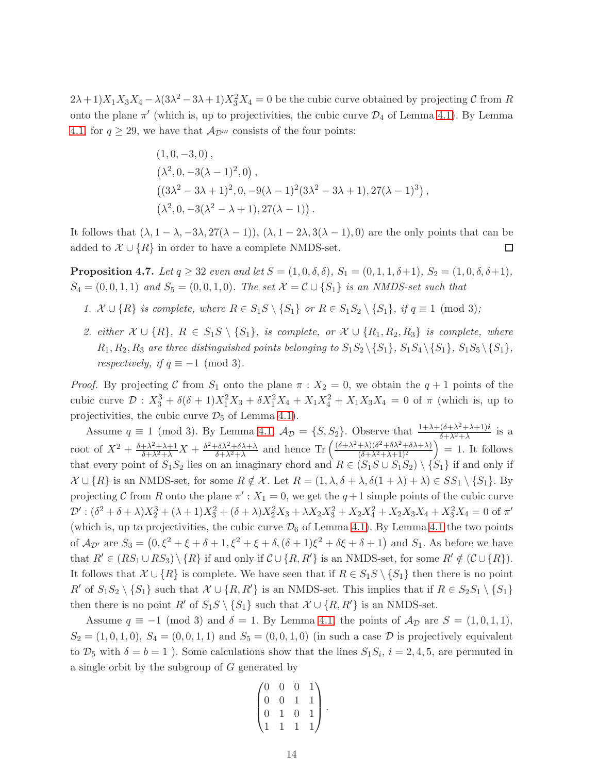$(2\lambda+1)X_1X_3X_4 - \lambda(3\lambda^2-3\lambda+1)X_3^2X_4 = 0$  be the cubic curve obtained by projecting C from R onto the plane  $\pi'$  (which is, up to projectivities, the cubic curve  $\mathcal{D}_4$  of Lemma [4.1\)](#page-5-1). By Lemma [4.1,](#page-5-1) for  $q \ge 29$ , we have that  $\mathcal{A}_{\mathcal{D}'''}$  consists of the four points:

$$
(1,0,-3,0),\n(\lambda^2,0,-3(\lambda-1)^2,0),\n((3\lambda^2-3\lambda+1)^2,0,-9(\lambda-1)^2(3\lambda^2-3\lambda+1),27(\lambda-1)^3),\n(\lambda^2,0,-3(\lambda^2-\lambda+1),27(\lambda-1)).
$$

It follows that  $(\lambda, 1 - \lambda, -3\lambda, 27(\lambda - 1)), (\lambda, 1 - 2\lambda, 3(\lambda - 1), 0)$  are the only points that can be added to  $\mathcal{X} \cup \{R\}$  in order to have a complete NMDS-set.  $\Box$ 

**Proposition 4.7.** Let  $q \ge 32$  even and let  $S = (1, 0, \delta, \delta)$ ,  $S_1 = (0, 1, 1, \delta + 1)$ ,  $S_2 = (1, 0, \delta, \delta + 1)$ ,  $S_4 = (0, 0, 1, 1)$  and  $S_5 = (0, 0, 1, 0)$ . The set  $\mathcal{X} = \mathcal{C} \cup \{S_1\}$  is an NMDS-set such that

- 1.  $\mathcal{X} \cup \{R\}$  is complete, where  $R \in S_1S \setminus \{S_1\}$  or  $R \in S_1S_2 \setminus \{S_1\}$ , if  $q \equiv 1 \pmod{3}$ ;
- 2. either  $\mathcal{X} \cup \{R\}$ ,  $R \in S_1S \setminus \{S_1\}$ , is complete, or  $\mathcal{X} \cup \{R_1, R_2, R_3\}$  is complete, where  $R_1, R_2, R_3$  are three distinguished points belonging to  $S_1S_2 \setminus \{S_1\}$ ,  $S_1S_4 \setminus \{S_1\}$ ,  $S_1S_5 \setminus \{S_1\}$ , respectively, if  $q \equiv -1 \pmod{3}$ .

*Proof.* By projecting C from  $S_1$  onto the plane  $\pi$  :  $X_2 = 0$ , we obtain the  $q + 1$  points of the cubic curve  $\mathcal{D}: X_3^3 + \delta(\delta+1)X_1^2X_3 + \delta X_1^2X_4 + X_1X_4^2 + X_1X_3X_4 = 0$  of  $\pi$  (which is, up to projectivities, the cubic curve  $\mathcal{D}_5$  of Lemma [4.1\)](#page-5-1).

Assume  $q \equiv 1 \pmod{3}$ . By Lemma [4.1,](#page-5-1)  $\mathcal{A}_{\mathcal{D}} = \{S, S_2\}$ . Observe that  $\frac{1 + \lambda + (\delta + \lambda^2 + \lambda + 1)i}{\delta + \lambda^2 + \lambda}$  $\frac{(\delta + \lambda + \lambda + 1)i}{\delta + \lambda^2 + \lambda}$  is a root of  $X^2 + \frac{\delta + \lambda^2 + \lambda + 1}{\delta + \lambda^2 + \lambda} X + \frac{\delta^2 + \delta \lambda^2 + \delta \lambda + \lambda}{\delta + \lambda^2 + \lambda}$  $\frac{\delta\lambda^2+\delta\lambda+\lambda}{\delta+\lambda^2+\lambda}$  and hence Tr  $\left(\frac{(\delta+\lambda^2+\lambda)(\delta^2+\delta\lambda^2+\delta\lambda+\lambda)}{(\delta+\lambda^2+\lambda+1)^2}\right)$  $\frac{(\delta^2 + \delta \lambda^2 + \delta \lambda + \lambda)}{(\delta + \lambda^2 + \lambda + 1)^2}$  = 1. It follows that every point of  $S_1S_2$  lies on an imaginary chord and  $R \in (S_1S \cup S_1S_2) \setminus \{S_1\}$  if and only if  $\mathcal{X} \cup \{R\}$  is an NMDS-set, for some  $R \notin \mathcal{X}$ . Let  $R = (1, \lambda, \delta + \lambda, \delta(1 + \lambda) + \lambda) \in SS_1 \setminus \{S_1\}$ . By projecting C from R onto the plane  $\pi'$ :  $X_1 = 0$ , we get the  $q+1$  simple points of the cubic curve  $\mathcal{D}'$ :  $(\delta^2 + \delta + \lambda)X_2^3 + (\lambda + 1)X_3^2 + (\delta + \lambda)X_2^2X_3 + \lambda X_2X_3^2 + X_2X_4^2 + X_2X_3X_4 + X_3^2X_4 = 0$  of  $\pi'$ (which is, up to projectivities, the cubic curve  $\mathcal{D}_6$  of Lemma [4.1\)](#page-5-1). By Lemma [4.1](#page-5-1) the two points of  $\mathcal{A}_{\mathcal{D}'}$  are  $S_3 = (0, \xi^2 + \xi + \delta + 1, \xi^2 + \xi + \delta, (\delta + 1)\xi^2 + \delta\xi + \delta + 1)$  and  $S_1$ . As before we have that  $R' \in (RS_1 \cup RS_3) \setminus \{R\}$  if and only if  $\mathcal{C} \cup \{R, R'\}$  is an NMDS-set, for some  $R' \notin (\mathcal{C} \cup \{R\})$ . It follows that  $\mathcal{X} \cup \{R\}$  is complete. We have seen that if  $R \in S_1S \setminus \{S_1\}$  then there is no point R' of  $S_1S_2 \setminus \{S_1\}$  such that  $\mathcal{X} \cup \{R, R'\}$  is an NMDS-set. This implies that if  $R \in S_2S_1 \setminus \{S_1\}$ then there is no point R' of  $S_1S \setminus \{S_1\}$  such that  $\mathcal{X} \cup \{R, R'\}$  is an NMDS-set.

Assume  $q \equiv -1 \pmod{3}$  and  $\delta = 1$ . By Lemma [4.1,](#page-5-1) the points of  $\mathcal{A}_{\mathcal{D}}$  are  $S = (1, 0, 1, 1)$ ,  $S_2 = (1, 0, 1, 0), S_4 = (0, 0, 1, 1)$  and  $S_5 = (0, 0, 1, 0)$  (in such a case  $D$  is projectively equivalent to  $\mathcal{D}_5$  with  $\delta = b = 1$ ). Some calculations show that the lines  $S_1 S_i$ ,  $i = 2, 4, 5$ , are permuted in a single orbit by the subgroup of G generated by

$$
\begin{pmatrix} 0 & 0 & 0 & 1 \\ 0 & 0 & 1 & 1 \\ 0 & 1 & 0 & 1 \\ 1 & 1 & 1 & 1 \end{pmatrix}.
$$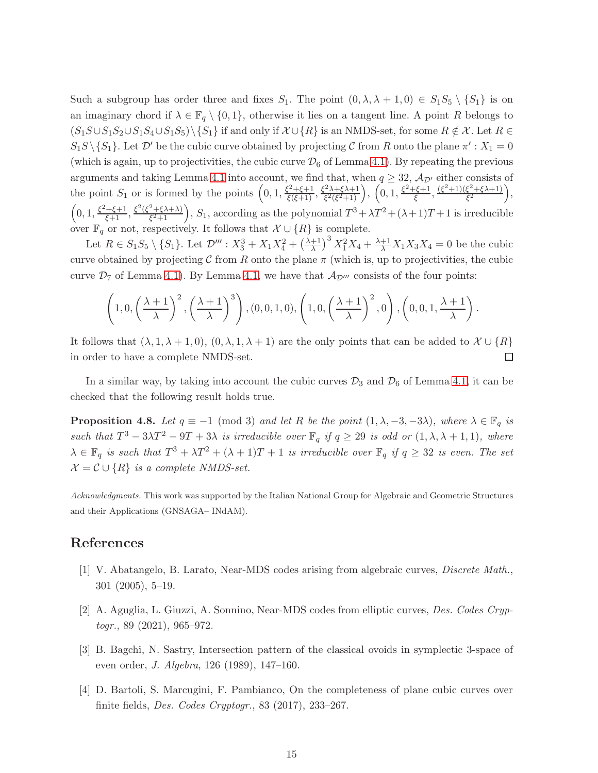Such a subgroup has order three and fixes  $S_1$ . The point  $(0, \lambda, \lambda + 1, 0) \in S_1S_5 \setminus \{S_1\}$  is on an imaginary chord if  $\lambda \in \mathbb{F}_q \setminus \{0,1\}$ , otherwise it lies on a tangent line. A point R belongs to  $(S_1S\cup S_1S_2\cup S_1S_4\cup S_1S_5)\setminus\{S_1\}$  if and only if  $\mathcal{X}\cup\{R\}$  is an NMDS-set, for some  $R \notin \mathcal{X}$ . Let  $R \in$  $S_1S \setminus \{S_1\}$ . Let  $\mathcal{D}'$  be the cubic curve obtained by projecting  $\mathcal C$  from R onto the plane  $\pi': X_1 = 0$ (which is again, up to projectivities, the cubic curve  $\mathcal{D}_6$  of Lemma [4.1\)](#page-5-1). By repeating the previous arguments and taking Lemma [4.1](#page-5-1) into account, we find that, when  $q \geq 32$ ,  $\mathcal{A}_{\mathcal{D}'}$  either consists of the point  $S_1$  or is formed by the points  $\left(0,1,\frac{\xi^2+\xi+1}{\xi(\xi+1)},\frac{\xi^2\lambda+\xi\lambda+1}{\xi^2(\xi^2+1)}\right)$  $\left(0, 1, \frac{\xi^2 + \xi + 1}{\xi^2(\xi^2 + 1)}\right), \left(0, 1, \frac{\xi^2 + \xi + 1}{\xi}\right)$  $\frac{(\xi^2+1)(\xi^2+\xi\lambda+1)}{\xi^2}$  $\frac{\xi^2 + \xi \lambda + 1)}{\xi^2}$ ,  $\left(0, 1, \frac{\xi^2 + \xi + 1}{\xi + 1}, \frac{\xi^2(\xi^2 + \xi \lambda + \lambda)}{\xi^2 + 1}\right)$  $\left(\frac{2+\xi\lambda+\lambda}{\xi^2+1}\right)$ ,  $S_1$ , according as the polynomial  $T^3+\lambda T^2+(\lambda+1)T+1$  is irreducible over  $\mathbb{F}_q$  or not, respectively. It follows that  $\mathcal{X} \cup \{R\}$  is complete.

Let  $R \in S_1S_5 \setminus \{S_1\}$ . Let  $\mathcal{D}''' : X_3^3 + X_1X_4^2 + \left(\frac{\lambda+1}{\lambda}\right)^3 X_1^2X_4 + \frac{\lambda+1}{\lambda}X_1X_3X_4 = 0$  be the cubic curve obtained by projecting C from R onto the plane  $\pi$  (which is, up to projectivities, the cubic curve  $\mathcal{D}_7$  of Lemma [4.1\)](#page-5-1). By Lemma [4.1,](#page-5-1) we have that  $\mathcal{A}_{\mathcal{D}^{\prime\prime\prime}}$  consists of the four points:

$$
\left(1,0,\left(\frac{\lambda+1}{\lambda}\right)^2,\left(\frac{\lambda+1}{\lambda}\right)^3\right),\left(0,0,1,0\right),\left(1,0,\left(\frac{\lambda+1}{\lambda}\right)^2,0\right),\left(0,0,1,\frac{\lambda+1}{\lambda}\right)
$$

.

It follows that  $(\lambda, 1, \lambda + 1, 0)$ ,  $(0, \lambda, 1, \lambda + 1)$  are the only points that can be added to  $\mathcal{X} \cup \{R\}$ in order to have a complete NMDS-set. □

In a similar way, by taking into account the cubic curves  $\mathcal{D}_3$  and  $\mathcal{D}_6$  of Lemma [4.1,](#page-5-1) it can be checked that the following result holds true.

**Proposition 4.8.** Let  $q \equiv -1 \pmod{3}$  and let R be the point  $(1, \lambda, -3, -3\lambda)$ , where  $\lambda \in \mathbb{F}_q$  is such that  $T^3 - 3\lambda T^2 - 9T + 3\lambda$  is irreducible over  $\mathbb{F}_q$  if  $q \ge 29$  is odd or  $(1, \lambda, \lambda + 1, 1)$ , where  $\lambda \in \mathbb{F}_q$  is such that  $T^3 + \lambda T^2 + (\lambda + 1)T + 1$  is irreducible over  $\mathbb{F}_q$  if  $q \geq 32$  is even. The set  $\mathcal{X} = \mathcal{C} \cup \{R\}$  is a complete NMDS-set.

Acknowledgments. This work was supported by the Italian National Group for Algebraic and Geometric Structures and their Applications (GNSAGA– INdAM).

## <span id="page-14-0"></span>References

- <span id="page-14-1"></span>[1] V. Abatangelo, B. Larato, Near-MDS codes arising from algebraic curves, Discrete Math., 301 (2005), 5–19.
- <span id="page-14-2"></span>[2] A. Aguglia, L. Giuzzi, A. Sonnino, Near-MDS codes from elliptic curves, Des. Codes Cryptogr., 89 (2021), 965–972.
- <span id="page-14-3"></span>[3] B. Bagchi, N. Sastry, Intersection pattern of the classical ovoids in symplectic 3-space of even order, J. Algebra, 126 (1989), 147–160.
- [4] D. Bartoli, S. Marcugini, F. Pambianco, On the completeness of plane cubic curves over finite fields, Des. Codes Cryptogr., 83 (2017), 233–267.